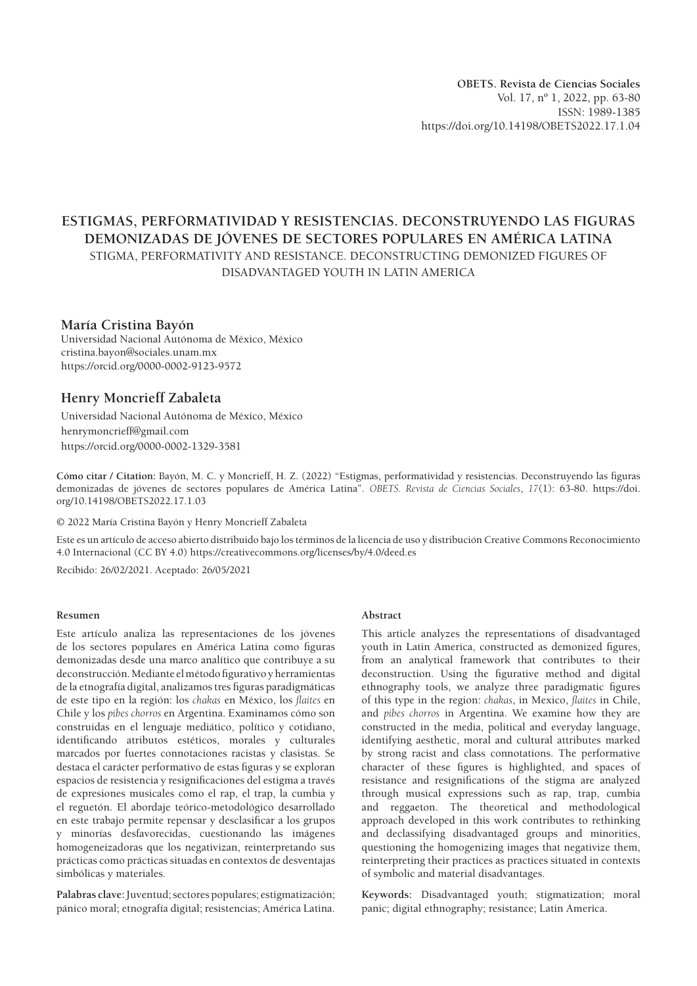# **ESTIGMAS, PERFORMATIVIDAD Y RESISTENCIAS. DECONSTRUYENDO LAS FIGURAS DEMONIZADAS DE JÓVENES DE SECTORES POPULARES EN AMÉRICA LATINA** STIGMA, PERFORMATIVITY AND RESISTANCE. DECONSTRUCTING DEMONIZED FIGURES OF DISADVANTAGED YOUTH IN LATIN AMERICA

## **María Cristina Bayón**

Universidad Nacional Autónoma de México, México cristina.bayon@sociales.unam.mx https://orcid.org/0000-0002-9123-9572

## **Henry Moncrieff Zabaleta**

Universidad Nacional Autónoma de México, México henrymoncrieff@gmail.com https://orcid.org/0000-0002-1329-3581

**Cómo citar / Citation:** Bayón, M. C. y Moncrieff, H. Z. (2022) "Estigmas, performatividad y resistencias. Deconstruyendo las figuras demonizadas de jóvenes de sectores populares de América Latina". *OBETS. Revista de Ciencias Sociales*, *17*(1): 63-80. https://doi. org/10.14198/OBETS2022.17.1.03

© 2022 María Cristina Bayón y Henry Moncrieff Zabaleta

Este es un artículo de acceso abierto distribuido bajo los términos de la licencia de uso y distribución Creative Commons Reconocimiento 4.0 Internacional (CC BY 4.0) https://creativecommons.org/licenses/by/4.0/deed.es

Recibido: 26/02/2021. Aceptado: 26/05/2021

#### **Resumen**

Este artículo analiza las representaciones de los jóvenes de los sectores populares en América Latina como figuras demonizadas desde una marco analítico que contribuye a su deconstrucción. Mediante el método figurativo y herramientas de la etnografía digital, analizamos tres figuras paradigmáticas de este tipo en la región: los *chakas* en México, los *flaites* en Chile y los *pibes chorros* en Argentina. Examinamos cómo son construidas en el lenguaje mediático, político y cotidiano, identificando atributos estéticos, morales y culturales marcados por fuertes connotaciones racistas y clasistas. Se destaca el carácter performativo de estas figuras y se exploran espacios de resistencia y resignificaciones del estigma a través de expresiones musicales como el rap, el trap, la cumbia y el reguetón. El abordaje teórico-metodológico desarrollado en este trabajo permite repensar y desclasificar a los grupos y minorías desfavorecidas, cuestionando las imágenes homogeneizadoras que los negativizan, reinterpretando sus prácticas como prácticas situadas en contextos de desventajas simbólicas y materiales.

**Palabras clave:** Juventud; sectores populares; estigmatización; pánico moral; etnografía digital; resistencias; América Latina.

#### **Abstract**

This article analyzes the representations of disadvantaged youth in Latin America, constructed as demonized figures, from an analytical framework that contributes to their deconstruction. Using the figurative method and digital ethnography tools, we analyze three paradigmatic figures of this type in the region: *chakas*, in Mexico, *flaites* in Chile, and *pibes chorros* in Argentina. We examine how they are constructed in the media, political and everyday language, identifying aesthetic, moral and cultural attributes marked by strong racist and class connotations. The performative character of these figures is highlighted, and spaces of resistance and resignifications of the stigma are analyzed through musical expressions such as rap, trap, cumbia and reggaeton. The theoretical and methodological approach developed in this work contributes to rethinking and declassifying disadvantaged groups and minorities, questioning the homogenizing images that negativize them, reinterpreting their practices as practices situated in contexts of symbolic and material disadvantages.

**Keywords:** Disadvantaged youth; stigmatization; moral panic; digital ethnography; resistance; Latin America.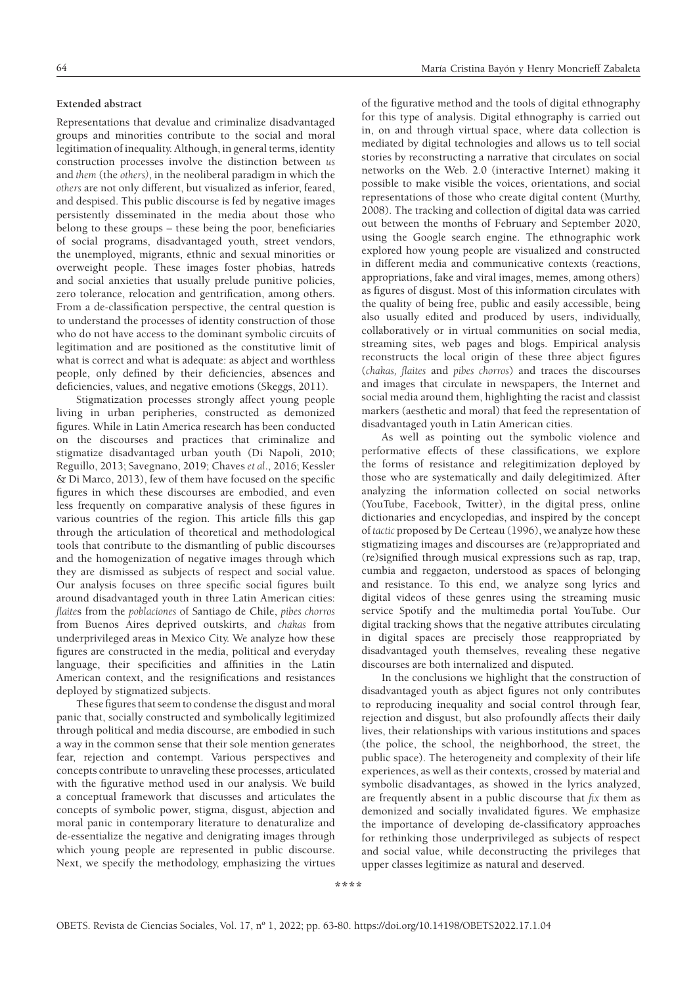#### **Extended abstract**

Representations that devalue and criminalize disadvantaged groups and minorities contribute to the social and moral legitimation of inequality. Although, in general terms, identity construction processes involve the distinction between *us* and *them* (the *others)*, in the neoliberal paradigm in which the *others* are not only different, but visualized as inferior, feared, and despised. This public discourse is fed by negative images persistently disseminated in the media about those who belong to these groups – these being the poor, beneficiaries of social programs, disadvantaged youth, street vendors, the unemployed, migrants, ethnic and sexual minorities or overweight people. These images foster phobias, hatreds and social anxieties that usually prelude punitive policies, zero tolerance, relocation and gentrification, among others. From a de-classification perspective, the central question is to understand the processes of identity construction of those who do not have access to the dominant symbolic circuits of legitimation and are positioned as the constitutive limit of what is correct and what is adequate: as abject and worthless people, only defined by their deficiencies, absences and deficiencies, values, and negative emotions (Skeggs, 2011).

Stigmatization processes strongly affect young people living in urban peripheries, constructed as demonized figures. While in Latin America research has been conducted on the discourses and practices that criminalize and stigmatize disadvantaged urban youth (Di Napoli, 2010; Reguillo, 2013; Savegnano, 2019; Chaves *et al*., 2016; Kessler & Di Marco, 2013), few of them have focused on the specific figures in which these discourses are embodied, and even less frequently on comparative analysis of these figures in various countries of the region. This article fills this gap through the articulation of theoretical and methodological tools that contribute to the dismantling of public discourses and the homogenization of negative images through which they are dismissed as subjects of respect and social value. Our analysis focuses on three specific social figures built around disadvantaged youth in three Latin American cities: *flaite*s from the *poblaciones* of Santiago de Chile, *pibes chorros*  from Buenos Aires deprived outskirts, and *chakas* from underprivileged areas in Mexico City. We analyze how these figures are constructed in the media, political and everyday language, their specificities and affinities in the Latin American context, and the resignifications and resistances deployed by stigmatized subjects.

These figures that seem to condense the disgust and moral panic that, socially constructed and symbolically legitimized through political and media discourse, are embodied in such a way in the common sense that their sole mention generates fear, rejection and contempt. Various perspectives and concepts contribute to unraveling these processes, articulated with the figurative method used in our analysis. We build a conceptual framework that discusses and articulates the concepts of symbolic power, stigma, disgust, abjection and moral panic in contemporary literature to denaturalize and de-essentialize the negative and denigrating images through which young people are represented in public discourse. Next, we specify the methodology, emphasizing the virtues

of the figurative method and the tools of digital ethnography for this type of analysis. Digital ethnography is carried out in, on and through virtual space, where data collection is mediated by digital technologies and allows us to tell social stories by reconstructing a narrative that circulates on social networks on the Web. 2.0 (interactive Internet) making it possible to make visible the voices, orientations, and social representations of those who create digital content (Murthy, 2008). The tracking and collection of digital data was carried out between the months of February and September 2020, using the Google search engine. The ethnographic work explored how young people are visualized and constructed in different media and communicative contexts (reactions, appropriations, fake and viral images, memes, among others) as figures of disgust. Most of this information circulates with the quality of being free, public and easily accessible, being also usually edited and produced by users, individually, collaboratively or in virtual communities on social media, streaming sites, web pages and blogs. Empirical analysis reconstructs the local origin of these three abject figures (*chakas, flaites* and *pibes chorros*) and traces the discourses and images that circulate in newspapers, the Internet and social media around them, highlighting the racist and classist markers (aesthetic and moral) that feed the representation of disadvantaged youth in Latin American cities.

As well as pointing out the symbolic violence and performative effects of these classifications, we explore the forms of resistance and relegitimization deployed by those who are systematically and daily delegitimized. After analyzing the information collected on social networks (YouTube, Facebook, Twitter), in the digital press, online dictionaries and encyclopedias, and inspired by the concept of *tactic* proposed by De Certeau (1996), we analyze how these stigmatizing images and discourses are (re)appropriated and (re)signified through musical expressions such as rap, trap, cumbia and reggaeton, understood as spaces of belonging and resistance. To this end, we analyze song lyrics and digital videos of these genres using the streaming music service Spotify and the multimedia portal YouTube. Our digital tracking shows that the negative attributes circulating in digital spaces are precisely those reappropriated by disadvantaged youth themselves, revealing these negative discourses are both internalized and disputed.

In the conclusions we highlight that the construction of disadvantaged youth as abject figures not only contributes to reproducing inequality and social control through fear, rejection and disgust, but also profoundly affects their daily lives, their relationships with various institutions and spaces (the police, the school, the neighborhood, the street, the public space). The heterogeneity and complexity of their life experiences, as well as their contexts, crossed by material and symbolic disadvantages, as showed in the lyrics analyzed, are frequently absent in a public discourse that *fix* them as demonized and socially invalidated figures. We emphasize the importance of developing de-classificatory approaches for rethinking those underprivileged as subjects of respect and social value, while deconstructing the privileges that upper classes legitimize as natural and deserved.

**\*\*\*\***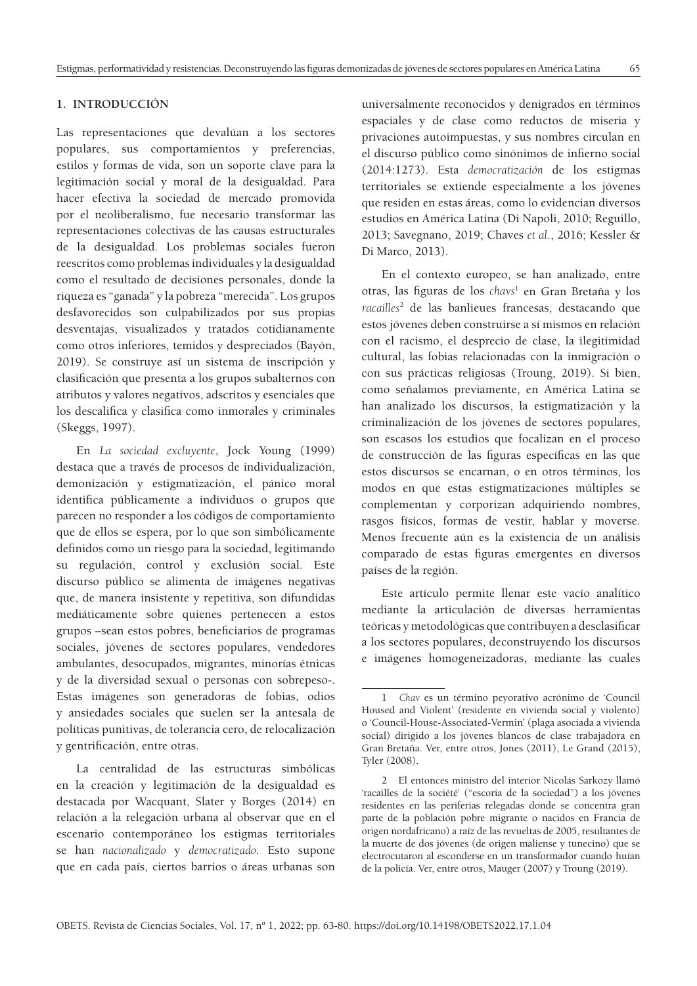## **1. INTRODUCCIÓN**

Las representaciones que devalúan a los sectores populares, sus comportamientos y preferencias, estilos y formas de vida, son un soporte clave para la legitimación social y moral de la desigualdad. Para hacer efectiva la sociedad de mercado promovida por el neoliberalismo, fue necesario transformar las representaciones colectivas de las causas estructurales de la desigualdad. Los problemas sociales fueron reescritos como problemas individuales y la desigualdad como el resultado de decisiones personales, donde la riqueza es "ganada" y la pobreza "merecida". Los grupos desfavorecidos son culpabilizados por sus propias desventajas, visualizados y tratados cotidianamente como otros inferiores, temidos y despreciados (Bayón, 2019). Se construye así un sistema de inscripción y clasificación que presenta a los grupos subalternos con atributos y valores negativos, adscritos y esenciales que los descalifica y clasifica como inmorales y criminales (Skeggs, 1997).

En *La sociedad excluyente*, Jock Young (1999) destaca que a través de procesos de individualización, demonización y estigmatización, el pánico moral identifica públicamente a individuos o grupos que parecen no responder a los códigos de comportamiento que de ellos se espera, por lo que son simbólicamente definidos como un riesgo para la sociedad, legitimando su regulación, control y exclusión social. Este discurso público se alimenta de imágenes negativas que, de manera insistente y repetitiva, son difundidas mediáticamente sobre quienes pertenecen a estos grupos –sean estos pobres, beneficiarios de programas sociales, jóvenes de sectores populares, vendedores ambulantes, desocupados, migrantes, minorías étnicas y de la diversidad sexual o personas con sobrepeso-. Estas imágenes son generadoras de fobias, odios y ansiedades sociales que suelen ser la antesala de políticas punitivas, de tolerancia cero, de relocalización y gentrificación, entre otras.

La centralidad de las estructuras simbólicas en la creación y legitimación de la desigualdad es destacada por Wacquant, Slater y Borges (2014) en relación a la relegación urbana al observar que en el escenario contemporáneo los estigmas territoriales se han *nacionalizado* y *democratizado*. Esto supone que en cada país, ciertos barrios o áreas urbanas son universalmente reconocidos y denigrados en términos espaciales y de clase como reductos de miseria y privaciones autoimpuestas, y sus nombres circulan en el discurso público como sinónimos de infierno social (2014:1273). Esta *democratización* de los estigmas territoriales se extiende especialmente a los jóvenes que residen en estas áreas, como lo evidencian diversos estudios en América Latina (Di Napoli, 2010; Reguillo, 2013; Savegnano, 2019; Chaves *et al*., 2016; Kessler & Di Marco, 2013).

En el contexto europeo, se han analizado, entre otras, las figuras de los *chavs*<sup>1</sup> en Gran Bretaña y los *racailles*<sup>2</sup> de las banlieues francesas, destacando que estos jóvenes deben construirse a sí mismos en relación con el racismo, el desprecio de clase, la ilegitimidad cultural, las fobias relacionadas con la inmigración o con sus prácticas religiosas (Troung, 2019). Si bien, como señalamos previamente, en América Latina se han analizado los discursos, la estigmatización y la criminalización de los jóvenes de sectores populares, son escasos los estudios que focalizan en el proceso de construcción de las figuras específicas en las que estos discursos se encarnan, o en otros términos, los modos en que estas estigmatizaciones múltiples se complementan y corporizan adquiriendo nombres, rasgos físicos, formas de vestir, hablar y moverse. Menos frecuente aún es la existencia de un análisis comparado de estas figuras emergentes en diversos países de la región.

Este artículo permite llenar este vacío analítico mediante la articulación de diversas herramientas teóricas y metodológicas que contribuyen a desclasificar a los sectores populares, deconstruyendo los discursos e imágenes homogeneizadoras, mediante las cuales

<sup>1</sup> *Chav* es un término peyorativo acrónimo de 'Council Housed and Violent' (residente en vivienda social y violento) o 'Council-House-Associated-Vermin' (plaga asociada a vivienda social) dirigido a los jóvenes blancos de clase trabajadora en Gran Bretaña. Ver, entre otros, Jones (2011), Le Grand (2015), Tyler (2008).

<sup>2</sup> El entonces ministro del interior Nicolás Sarkozy llamó 'racailles de la société' ("escoria de la sociedad") a los jóvenes residentes en las periferias relegadas donde se concentra gran parte de la población pobre migrante o nacidos en Francia de origen nordafricano) a raíz de las revueltas de 2005, resultantes de la muerte de dos jóvenes (de origen maliense y tunecino) que se electrocutaron al esconderse en un transformador cuando huían de la policía. Ver, entre otros, Mauger (2007) y Troung (2019).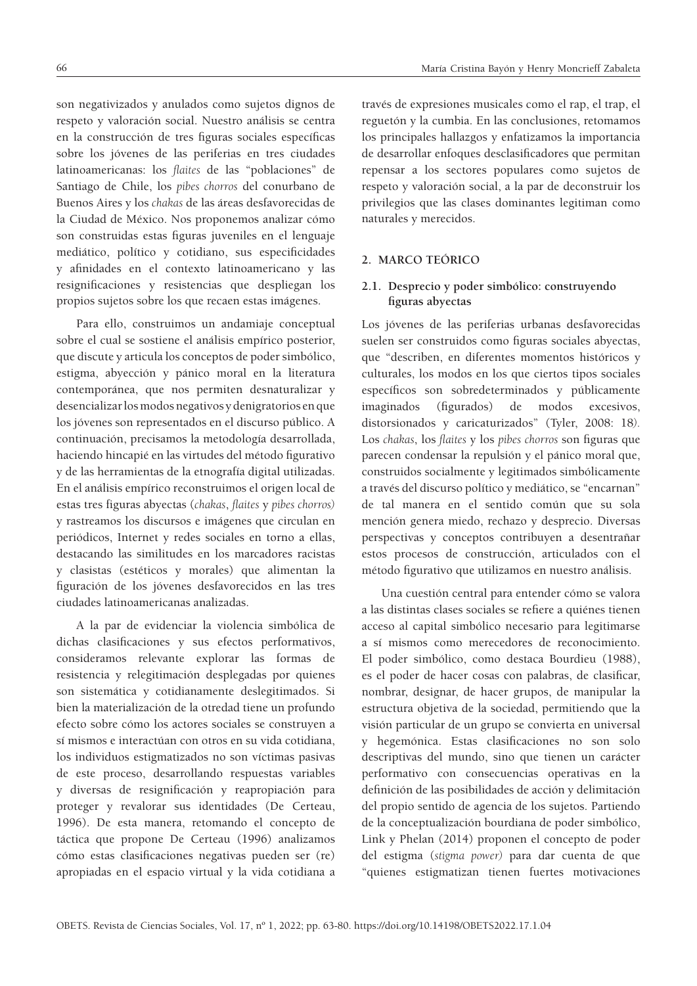son negativizados y anulados como sujetos dignos de respeto y valoración social. Nuestro análisis se centra en la construcción de tres figuras sociales específicas sobre los jóvenes de las periferias en tres ciudades latinoamericanas: los *flaites* de las "poblaciones" de Santiago de Chile, los *pibes chorros* del conurbano de Buenos Aires y los *chakas* de las áreas desfavorecidas de la Ciudad de México. Nos proponemos analizar cómo son construidas estas figuras juveniles en el lenguaje mediático, político y cotidiano, sus especificidades y afinidades en el contexto latinoamericano y las resignificaciones y resistencias que despliegan los propios sujetos sobre los que recaen estas imágenes.

Para ello, construimos un andamiaje conceptual sobre el cual se sostiene el análisis empírico posterior, que discute y articula los conceptos de poder simbólico, estigma, abyección y pánico moral en la literatura contemporánea, que nos permiten desnaturalizar y desencializar los modos negativos y denigratorios en que los jóvenes son representados en el discurso público. A continuación, precisamos la metodología desarrollada, haciendo hincapié en las virtudes del método figurativo y de las herramientas de la etnografía digital utilizadas. En el análisis empírico reconstruimos el origen local de estas tres figuras abyectas (*chakas*, *flaites* y *pibes chorros)*  y rastreamos los discursos e imágenes que circulan en periódicos, Internet y redes sociales en torno a ellas, destacando las similitudes en los marcadores racistas y clasistas (estéticos y morales) que alimentan la figuración de los jóvenes desfavorecidos en las tres ciudades latinoamericanas analizadas.

A la par de evidenciar la violencia simbólica de dichas clasificaciones y sus efectos performativos, consideramos relevante explorar las formas de resistencia y relegitimación desplegadas por quienes son sistemática y cotidianamente deslegitimados. Si bien la materialización de la otredad tiene un profundo efecto sobre cómo los actores sociales se construyen a sí mismos e interactúan con otros en su vida cotidiana, los individuos estigmatizados no son víctimas pasivas de este proceso, desarrollando respuestas variables y diversas de resignificación y reapropiación para proteger y revalorar sus identidades (De Certeau, 1996). De esta manera, retomando el concepto de táctica que propone De Certeau (1996) analizamos cómo estas clasificaciones negativas pueden ser (re) apropiadas en el espacio virtual y la vida cotidiana a

través de expresiones musicales como el rap, el trap, el reguetón y la cumbia. En las conclusiones, retomamos los principales hallazgos y enfatizamos la importancia de desarrollar enfoques desclasificadores que permitan repensar a los sectores populares como sujetos de respeto y valoración social, a la par de deconstruir los privilegios que las clases dominantes legitiman como naturales y merecidos.

## **2. MARCO TEÓRICO**

## **2.1. Desprecio y poder simbólico: construyendo figuras abyectas**

Los jóvenes de las periferias urbanas desfavorecidas suelen ser construidos como figuras sociales abyectas, que "describen, en diferentes momentos históricos y culturales, los modos en los que ciertos tipos sociales específicos son sobredeterminados y públicamente imaginados (figurados) de modos excesivos, distorsionados y caricaturizados" (Tyler, 2008: 18*).*  Los *chakas*, los *flaites* y los *pibes chorros* son figuras que parecen condensar la repulsión y el pánico moral que, construidos socialmente y legitimados simbólicamente a través del discurso político y mediático, se "encarnan" de tal manera en el sentido común que su sola mención genera miedo, rechazo y desprecio. Diversas perspectivas y conceptos contribuyen a desentrañar estos procesos de construcción, articulados con el método figurativo que utilizamos en nuestro análisis.

Una cuestión central para entender cómo se valora a las distintas clases sociales se refiere a quiénes tienen acceso al capital simbólico necesario para legitimarse a sí mismos como merecedores de reconocimiento. El poder simbólico, como destaca Bourdieu (1988), es el poder de hacer cosas con palabras, de clasificar, nombrar, designar, de hacer grupos, de manipular la estructura objetiva de la sociedad, permitiendo que la visión particular de un grupo se convierta en universal y hegemónica. Estas clasificaciones no son solo descriptivas del mundo, sino que tienen un carácter performativo con consecuencias operativas en la definición de las posibilidades de acción y delimitación del propio sentido de agencia de los sujetos. Partiendo de la conceptualización bourdiana de poder simbólico, Link y Phelan (2014) proponen el concepto de poder del estigma (*stigma power)* para dar cuenta de que "quienes estigmatizan tienen fuertes motivaciones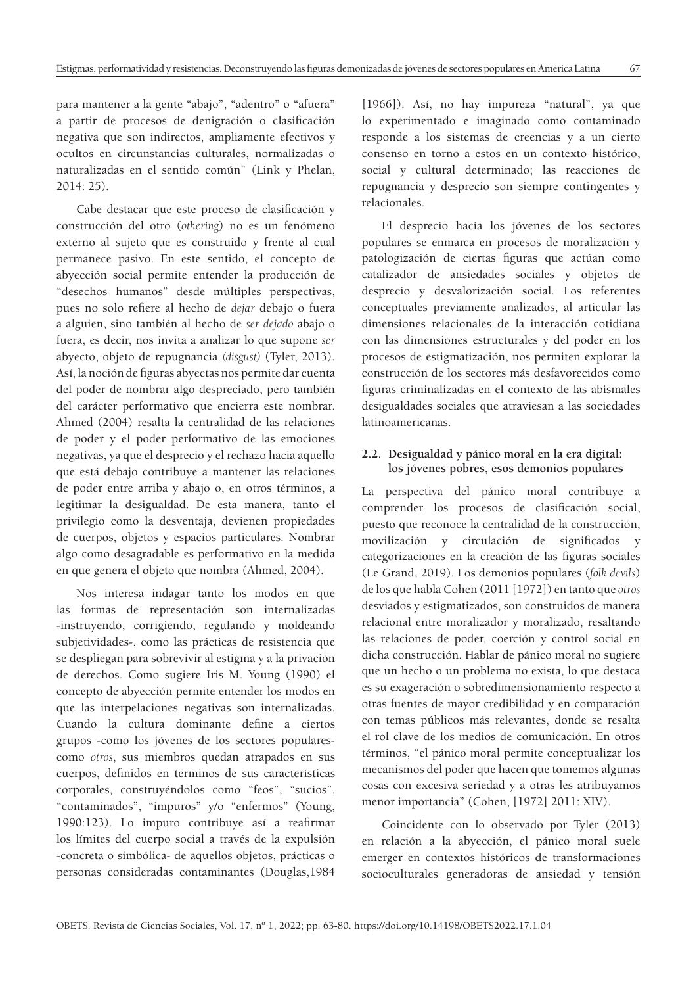para mantener a la gente "abajo", "adentro" o "afuera" a partir de procesos de denigración o clasificación negativa que son indirectos, ampliamente efectivos y ocultos en circunstancias culturales, normalizadas o naturalizadas en el sentido común" (Link y Phelan, 2014: 25).

Cabe destacar que este proceso de clasificación y construcción del otro (*othering*) no es un fenómeno externo al sujeto que es construido y frente al cual permanece pasivo. En este sentido, el concepto de abyección social permite entender la producción de "desechos humanos" desde múltiples perspectivas, pues no solo refiere al hecho de *dejar* debajo o fuera a alguien, sino también al hecho de *ser dejado* abajo o fuera, es decir, nos invita a analizar lo que supone *ser* abyecto, objeto de repugnancia *(disgust)* (Tyler, 2013). Así, la noción de figuras abyectas nos permite dar cuenta del poder de nombrar algo despreciado, pero también del carácter performativo que encierra este nombrar. Ahmed (2004) resalta la centralidad de las relaciones de poder y el poder performativo de las emociones negativas, ya que el desprecio y el rechazo hacia aquello que está debajo contribuye a mantener las relaciones de poder entre arriba y abajo o, en otros términos, a legitimar la desigualdad. De esta manera, tanto el privilegio como la desventaja, devienen propiedades de cuerpos, objetos y espacios particulares. Nombrar algo como desagradable es performativo en la medida en que genera el objeto que nombra (Ahmed, 2004).

Nos interesa indagar tanto los modos en que las formas de representación son internalizadas -instruyendo, corrigiendo, regulando y moldeando subjetividades-, como las prácticas de resistencia que se despliegan para sobrevivir al estigma y a la privación de derechos. Como sugiere Iris M. Young (1990) el concepto de abyección permite entender los modos en que las interpelaciones negativas son internalizadas. Cuando la cultura dominante define a ciertos grupos -como los jóvenes de los sectores popularescomo *otros*, sus miembros quedan atrapados en sus cuerpos, definidos en términos de sus características corporales, construyéndolos como "feos", "sucios", "contaminados", "impuros" y/o "enfermos" (Young, 1990:123). Lo impuro contribuye así a reafirmar los límites del cuerpo social a través de la expulsión -concreta o simbólica- de aquellos objetos, prácticas o personas consideradas contaminantes (Douglas,1984

[1966]). Así, no hay impureza "natural", ya que lo experimentado e imaginado como contaminado responde a los sistemas de creencias y a un cierto consenso en torno a estos en un contexto histórico, social y cultural determinado; las reacciones de repugnancia y desprecio son siempre contingentes y relacionales.

El desprecio hacia los jóvenes de los sectores populares se enmarca en procesos de moralización y patologización de ciertas figuras que actúan como catalizador de ansiedades sociales y objetos de desprecio y desvalorización social. Los referentes conceptuales previamente analizados, al articular las dimensiones relacionales de la interacción cotidiana con las dimensiones estructurales y del poder en los procesos de estigmatización, nos permiten explorar la construcción de los sectores más desfavorecidos como figuras criminalizadas en el contexto de las abismales desigualdades sociales que atraviesan a las sociedades latinoamericanas.

## **2.2. Desigualdad y pánico moral en la era digital: los jóvenes pobres, esos demonios populares**

La perspectiva del pánico moral contribuye a comprender los procesos de clasificación social, puesto que reconoce la centralidad de la construcción, movilización y circulación de significados y categorizaciones en la creación de las figuras sociales (Le Grand, 2019). Los demonios populares (*folk devils*) de los que habla Cohen (2011 [1972]) en tanto que *otros* desviados y estigmatizados, son construidos de manera relacional entre moralizador y moralizado, resaltando las relaciones de poder, coerción y control social en dicha construcción. Hablar de pánico moral no sugiere que un hecho o un problema no exista, lo que destaca es su exageración o sobredimensionamiento respecto a otras fuentes de mayor credibilidad y en comparación con temas públicos más relevantes, donde se resalta el rol clave de los medios de comunicación. En otros términos, "el pánico moral permite conceptualizar los mecanismos del poder que hacen que tomemos algunas cosas con excesiva seriedad y a otras les atribuyamos menor importancia" (Cohen, [1972] 2011: XIV).

Coincidente con lo observado por Tyler (2013) en relación a la abyección, el pánico moral suele emerger en contextos históricos de transformaciones socioculturales generadoras de ansiedad y tensión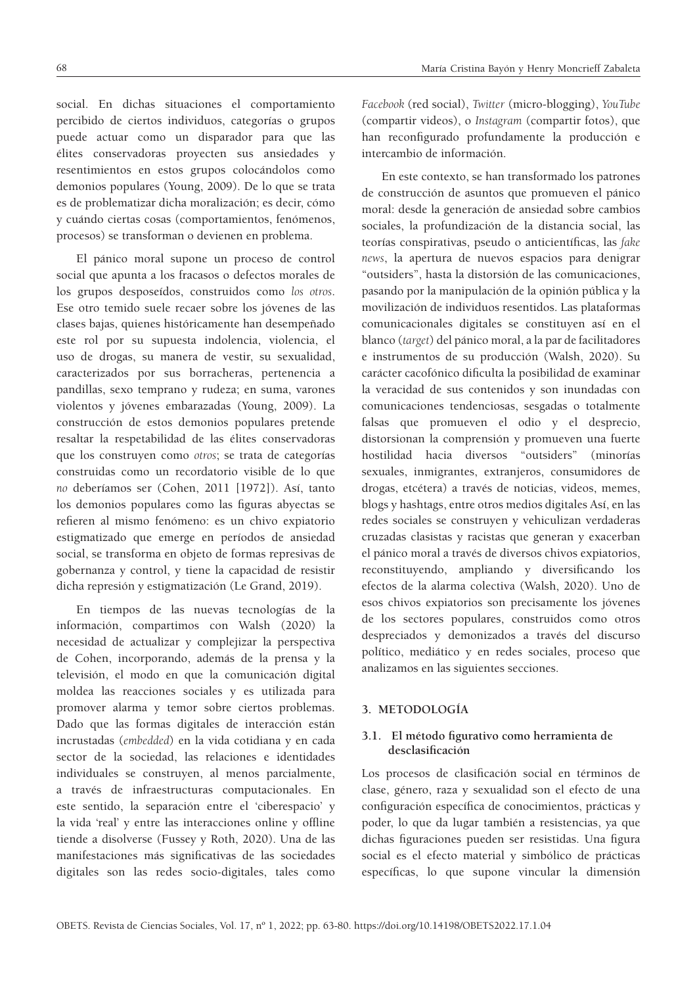social. En dichas situaciones el comportamiento percibido de ciertos individuos, categorías o grupos puede actuar como un disparador para que las élites conservadoras proyecten sus ansiedades y resentimientos en estos grupos colocándolos como demonios populares (Young, 2009). De lo que se trata es de problematizar dicha moralización; es decir, cómo y cuándo ciertas cosas (comportamientos, fenómenos, procesos) se transforman o devienen en problema.

El pánico moral supone un proceso de control social que apunta a los fracasos o defectos morales de los grupos desposeídos, construidos como *los otros*. Ese otro temido suele recaer sobre los jóvenes de las clases bajas, quienes históricamente han desempeñado este rol por su supuesta indolencia, violencia, el uso de drogas, su manera de vestir, su sexualidad, caracterizados por sus borracheras, pertenencia a pandillas, sexo temprano y rudeza; en suma, varones violentos y jóvenes embarazadas (Young, 2009). La construcción de estos demonios populares pretende resaltar la respetabilidad de las élites conservadoras que los construyen como *otros*; se trata de categorías construidas como un recordatorio visible de lo que *no* deberíamos ser (Cohen, 2011 [1972]). Así, tanto los demonios populares como las figuras abyectas se refieren al mismo fenómeno: es un chivo expiatorio estigmatizado que emerge en períodos de ansiedad social, se transforma en objeto de formas represivas de gobernanza y control, y tiene la capacidad de resistir dicha represión y estigmatización (Le Grand, 2019).

En tiempos de las nuevas tecnologías de la información, compartimos con Walsh (2020) la necesidad de actualizar y complejizar la perspectiva de Cohen, incorporando, además de la prensa y la televisión, el modo en que la comunicación digital moldea las reacciones sociales y es utilizada para promover alarma y temor sobre ciertos problemas. Dado que las formas digitales de interacción están incrustadas (*embedded*) en la vida cotidiana y en cada sector de la sociedad, las relaciones e identidades individuales se construyen, al menos parcialmente, a través de infraestructuras computacionales. En este sentido, la separación entre el 'ciberespacio' y la vida 'real' y entre las interacciones online y offline tiende a disolverse (Fussey y Roth, 2020). Una de las manifestaciones más significativas de las sociedades digitales son las redes socio-digitales, tales como

*Facebook* (red social), *Twitter* (micro-blogging), *YouTube* (compartir videos), o *Instagram* (compartir fotos), que han reconfigurado profundamente la producción e intercambio de información.

En este contexto, se han transformado los patrones de construcción de asuntos que promueven el pánico moral: desde la generación de ansiedad sobre cambios sociales, la profundización de la distancia social, las teorías conspirativas, pseudo o anticientíficas, las *fake news*, la apertura de nuevos espacios para denigrar "outsiders", hasta la distorsión de las comunicaciones, pasando por la manipulación de la opinión pública y la movilización de individuos resentidos. Las plataformas comunicacionales digitales se constituyen así en el blanco (*target*) del pánico moral, a la par de facilitadores e instrumentos de su producción (Walsh, 2020). Su carácter cacofónico dificulta la posibilidad de examinar la veracidad de sus contenidos y son inundadas con comunicaciones tendenciosas, sesgadas o totalmente falsas que promueven el odio y el desprecio, distorsionan la comprensión y promueven una fuerte hostilidad hacia diversos "outsiders" (minorías sexuales, inmigrantes, extranjeros, consumidores de drogas, etcétera) a través de noticias, videos, memes, blogs y hashtags, entre otros medios digitales Así, en las redes sociales se construyen y vehiculizan verdaderas cruzadas clasistas y racistas que generan y exacerban el pánico moral a través de diversos chivos expiatorios, reconstituyendo, ampliando y diversificando los efectos de la alarma colectiva (Walsh, 2020). Uno de esos chivos expiatorios son precisamente los jóvenes de los sectores populares, construidos como otros despreciados y demonizados a través del discurso político, mediático y en redes sociales, proceso que analizamos en las siguientes secciones.

#### **3. METODOLOGÍA**

## **3.1. El método figurativo como herramienta de desclasificación**

Los procesos de clasificación social en términos de clase, género, raza y sexualidad son el efecto de una configuración específica de conocimientos, prácticas y poder, lo que da lugar también a resistencias, ya que dichas figuraciones pueden ser resistidas. Una figura social es el efecto material y simbólico de prácticas específicas, lo que supone vincular la dimensión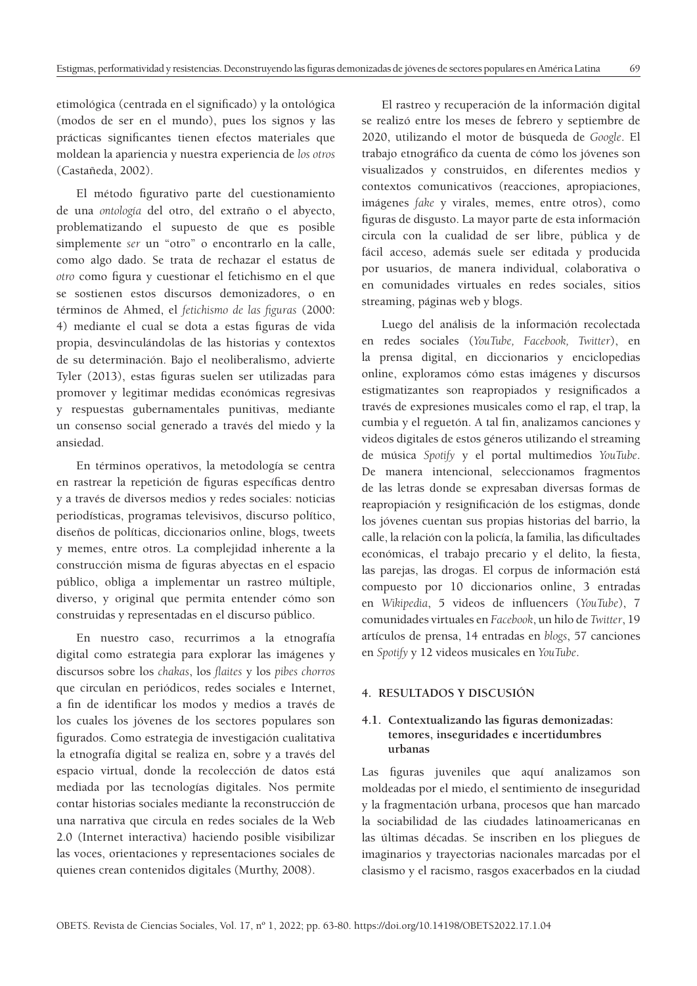etimológica (centrada en el significado) y la ontológica (modos de ser en el mundo), pues los signos y las prácticas significantes tienen efectos materiales que moldean la apariencia y nuestra experiencia de *los otros*  (Castañeda, 2002).

El método figurativo parte del cuestionamiento de una *ontología* del otro, del extraño o el abyecto, problematizando el supuesto de que es posible simplemente *ser* un "otro" o encontrarlo en la calle, como algo dado. Se trata de rechazar el estatus de *otro* como figura y cuestionar el fetichismo en el que se sostienen estos discursos demonizadores, o en términos de Ahmed, el *fetichismo de las figuras* (2000: 4) mediante el cual se dota a estas figuras de vida propia, desvinculándolas de las historias y contextos de su determinación. Bajo el neoliberalismo, advierte Tyler (2013), estas figuras suelen ser utilizadas para promover y legitimar medidas económicas regresivas y respuestas gubernamentales punitivas, mediante un consenso social generado a través del miedo y la ansiedad.

En términos operativos, la metodología se centra en rastrear la repetición de figuras específicas dentro y a través de diversos medios y redes sociales: noticias periodísticas, programas televisivos, discurso político, diseños de políticas, diccionarios online, blogs, tweets y memes, entre otros. La complejidad inherente a la construcción misma de figuras abyectas en el espacio público, obliga a implementar un rastreo múltiple, diverso, y original que permita entender cómo son construidas y representadas en el discurso público.

En nuestro caso, recurrimos a la etnografía digital como estrategia para explorar las imágenes y discursos sobre los *chakas*, los *flaites* y los *pibes chorros* que circulan en periódicos, redes sociales e Internet, a fin de identificar los modos y medios a través de los cuales los jóvenes de los sectores populares son figurados. Como estrategia de investigación cualitativa la etnografía digital se realiza en, sobre y a través del espacio virtual, donde la recolección de datos está mediada por las tecnologías digitales. Nos permite contar historias sociales mediante la reconstrucción de una narrativa que circula en redes sociales de la Web 2.0 (Internet interactiva) haciendo posible visibilizar las voces, orientaciones y representaciones sociales de quienes crean contenidos digitales (Murthy, 2008).

El rastreo y recuperación de la información digital se realizó entre los meses de febrero y septiembre de 2020, utilizando el motor de búsqueda de *Google*. El trabajo etnográfico da cuenta de cómo los jóvenes son visualizados y construidos, en diferentes medios y contextos comunicativos (reacciones, apropiaciones, imágenes *fake* y virales, memes, entre otros), como figuras de disgusto. La mayor parte de esta información circula con la cualidad de ser libre, pública y de fácil acceso, además suele ser editada y producida por usuarios, de manera individual, colaborativa o en comunidades virtuales en redes sociales, sitios streaming, páginas web y blogs.

Luego del análisis de la información recolectada en redes sociales (*YouTube, Facebook, Twitter*), en la prensa digital, en diccionarios y enciclopedias online, exploramos cómo estas imágenes y discursos estigmatizantes son reapropiados y resignificados a través de expresiones musicales como el rap, el trap, la cumbia y el reguetón. A tal fin, analizamos canciones y videos digitales de estos géneros utilizando el streaming de música *Spotify* y el portal multimedios *YouTube*. De manera intencional, seleccionamos fragmentos de las letras donde se expresaban diversas formas de reapropiación y resignificación de los estigmas, donde los jóvenes cuentan sus propias historias del barrio, la calle, la relación con la policía, la familia, las dificultades económicas, el trabajo precario y el delito, la fiesta, las parejas, las drogas. El corpus de información está compuesto por 10 diccionarios online, 3 entradas en *Wikipedia*, 5 videos de influencers (*YouTube*), 7 comunidades virtuales en *Facebook*, un hilo de *Twitter*, 19 artículos de prensa, 14 entradas en *blogs*, 57 canciones en *Spotify* y 12 videos musicales en *YouTube*.

#### **4. RESULTADOS Y DISCUSIÓN**

### **4.1. Contextualizando las figuras demonizadas: temores, inseguridades e incertidumbres urbanas**

Las figuras juveniles que aquí analizamos son moldeadas por el miedo, el sentimiento de inseguridad y la fragmentación urbana, procesos que han marcado la sociabilidad de las ciudades latinoamericanas en las últimas décadas. Se inscriben en los pliegues de imaginarios y trayectorias nacionales marcadas por el clasismo y el racismo, rasgos exacerbados en la ciudad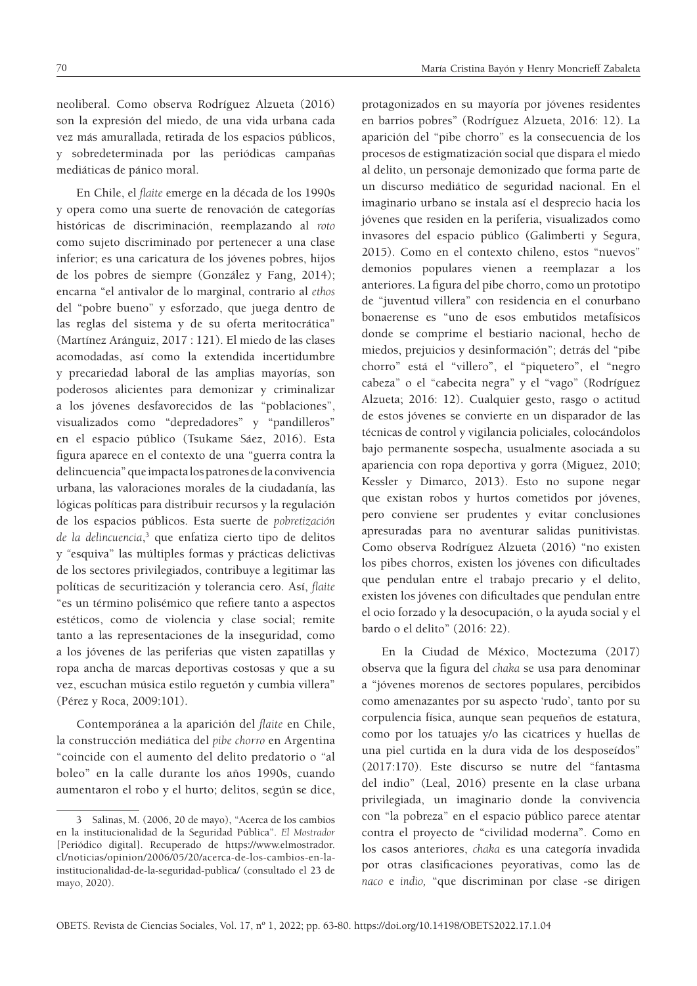neoliberal. Como observa Rodríguez Alzueta (2016) son la expresión del miedo, de una vida urbana cada vez más amurallada, retirada de los espacios públicos, y sobredeterminada por las periódicas campañas mediáticas de pánico moral.

En Chile, el *flaite* emerge en la década de los 1990s y opera como una suerte de renovación de categorías históricas de discriminación, reemplazando al *roto*  como sujeto discriminado por pertenecer a una clase inferior; es una caricatura de los jóvenes pobres, hijos de los pobres de siempre (González y Fang, 2014); encarna "el antivalor de lo marginal, contrario al *ethos*  del "pobre bueno" y esforzado, que juega dentro de las reglas del sistema y de su oferta meritocrática" (Martínez Aránguiz, 2017 : 121). El miedo de las clases acomodadas, así como la extendida incertidumbre y precariedad laboral de las amplias mayorías, son poderosos alicientes para demonizar y criminalizar a los jóvenes desfavorecidos de las "poblaciones", visualizados como "depredadores" y "pandilleros" en el espacio público (Tsukame Sáez, 2016). Esta figura aparece en el contexto de una "guerra contra la delincuencia" que impacta los patrones de la convivencia urbana, las valoraciones morales de la ciudadanía, las lógicas políticas para distribuir recursos y la regulación de los espacios públicos. Esta suerte de *pobretización de la delincuencia*, 3 que enfatiza cierto tipo de delitos y *"*esquiva" las múltiples formas y prácticas delictivas de los sectores privilegiados, contribuye a legitimar las políticas de securitización y tolerancia cero. Así, *flaite* "es un término polisémico que refiere tanto a aspectos estéticos, como de violencia y clase social; remite tanto a las representaciones de la inseguridad, como a los jóvenes de las periferias que visten zapatillas y ropa ancha de marcas deportivas costosas y que a su vez, escuchan música estilo reguetón y cumbia villera" (Pérez y Roca, 2009:101).

Contemporánea a la aparición del *flaite* en Chile, la construcción mediática del *pibe chorro* en Argentina "coincide con el aumento del delito predatorio o "al boleo" en la calle durante los años 1990s, cuando aumentaron el robo y el hurto; delitos, según se dice,

protagonizados en su mayoría por jóvenes residentes en barrios pobres" (Rodríguez Alzueta, 2016: 12). La aparición del "pibe chorro" es la consecuencia de los procesos de estigmatización social que dispara el miedo al delito, un personaje demonizado que forma parte de un discurso mediático de seguridad nacional. En el imaginario urbano se instala así el desprecio hacia los jóvenes que residen en la periferia**,** visualizados como invasores del espacio público **(**Galimberti y Segura, 2015). Como en el contexto chileno, estos "nuevos" demonios populares vienen a reemplazar a los anteriores. La figura del pibe chorro, como un prototipo de "juventud villera" con residencia en el conurbano bonaerense es "uno de esos embutidos metafísicos donde se comprime el bestiario nacional, hecho de miedos, prejuicios y desinformación"; detrás del "pibe chorro" está el "villero", el "piquetero", el "negro cabeza" o el "cabecita negra" y el "vago" (Rodríguez Alzueta; 2016: 12). Cualquier gesto, rasgo o actitud de estos jóvenes se convierte en un disparador de las técnicas de control y vigilancia policiales, colocándolos bajo permanente sospecha, usualmente asociada a su apariencia con ropa deportiva y gorra (Miguez, 2010; Kessler y Dimarco, 2013). Esto no supone negar que existan robos y hurtos cometidos por jóvenes, pero conviene ser prudentes y evitar conclusiones apresuradas para no aventurar salidas punitivistas. Como observa Rodríguez Alzueta (2016) "no existen los pibes chorros, existen los jóvenes con dificultades que pendulan entre el trabajo precario y el delito, existen los jóvenes con dificultades que pendulan entre el ocio forzado y la desocupación, o la ayuda social y el bardo o el delito" (2016: 22).

En la Ciudad de México, Moctezuma (2017) observa que la figura del *chaka* se usa para denominar a "jóvenes morenos de sectores populares, percibidos como amenazantes por su aspecto 'rudo', tanto por su corpulencia física, aunque sean pequeños de estatura, como por los tatuajes y/o las cicatrices y huellas de una piel curtida en la dura vida de los desposeídos" (2017:170). Este discurso se nutre del "fantasma del indio" (Leal, 2016) presente en la clase urbana privilegiada, un imaginario donde la convivencia con "la pobreza" en el espacio público parece atentar contra el proyecto de "civilidad moderna". Como en los casos anteriores, *chaka* es una categoría invadida por otras clasificaciones peyorativas, como las de *naco* e *indio,* "que discriminan por clase -se dirigen

<sup>3</sup> Salinas, M. (2006, 20 de mayo), "Acerca de los cambios en la institucionalidad de la Seguridad Pública". *El Mostrador* [Periódico digital]. Recuperado de https://www.elmostrador. cl/noticias/opinion/2006/05/20/acerca-de-los-cambios-en-lainstitucionalidad-de-la-seguridad-publica/ (consultado el 23 de mayo, 2020).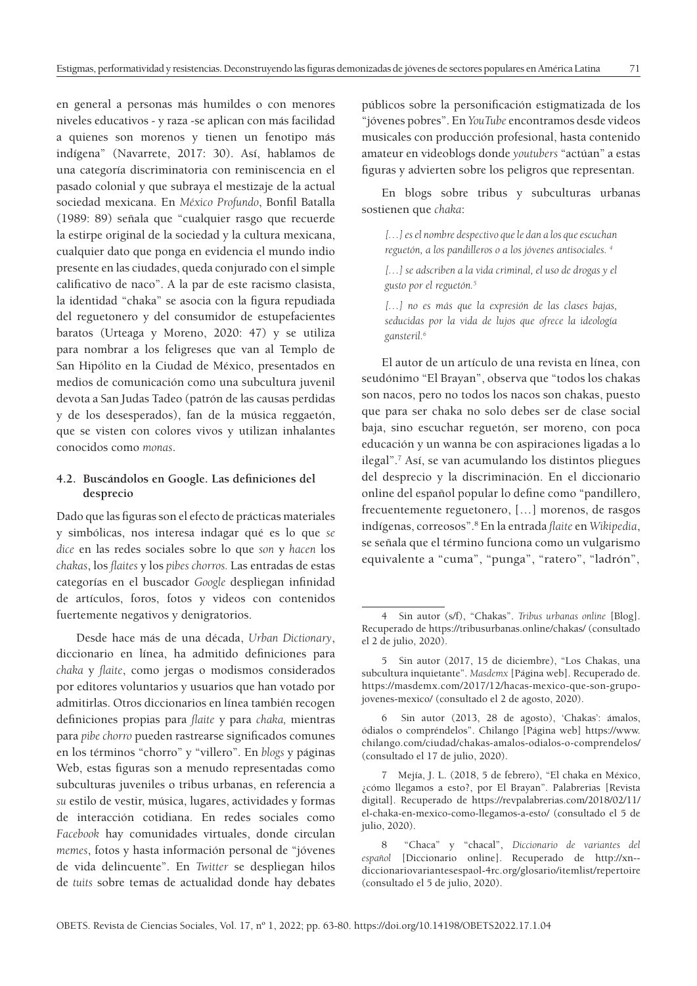en general a personas más humildes o con menores niveles educativos - y raza -se aplican con más facilidad a quienes son morenos y tienen un fenotipo más indígena" (Navarrete, 2017: 30). Así, hablamos de una categoría discriminatoria con reminiscencia en el pasado colonial y que subraya el mestizaje de la actual sociedad mexicana. En *México Profundo*, Bonfil Batalla (1989: 89) señala que "cualquier rasgo que recuerde la estirpe original de la sociedad y la cultura mexicana, cualquier dato que ponga en evidencia el mundo indio presente en las ciudades, queda conjurado con el simple calificativo de naco". A la par de este racismo clasista, la identidad "chaka" se asocia con la figura repudiada del reguetonero y del consumidor de estupefacientes baratos (Urteaga y Moreno, 2020: 47) y se utiliza para nombrar a los feligreses que van al Templo de San Hipólito en la Ciudad de México, presentados en medios de comunicación como una subcultura juvenil devota a San Judas Tadeo (patrón de las causas perdidas y de los desesperados), fan de la música reggaetón, que se visten con colores vivos y utilizan inhalantes conocidos como *monas*.

## **4.2. Buscándolos en Google. Las definiciones del desprecio**

Dado que las figuras son el efecto de prácticas materiales y simbólicas, nos interesa indagar qué es lo que *se dice* en las redes sociales sobre lo que *son* y *hacen* los *chakas*, los *flaites* y los *pibes chorros.* Las entradas de estas categorías en el buscador *Google* despliegan infinidad de artículos, foros, fotos y videos con contenidos fuertemente negativos y denigratorios.

Desde hace más de una década, *Urban Dictionary*, diccionario en línea, ha admitido definiciones para *chaka* y *flaite*, como jergas o modismos considerados por editores voluntarios y usuarios que han votado por admitirlas. Otros diccionarios en línea también recogen definiciones propias para *flaite* y para *chaka,* mientras para *pibe chorro* pueden rastrearse significados comunes en los términos "chorro" y "villero". En *blogs* y páginas Web, estas figuras son a menudo representadas como subculturas juveniles o tribus urbanas, en referencia a *su* estilo de vestir, música, lugares, actividades y formas de interacción cotidiana. En redes sociales como *Facebook* hay comunidades virtuales, donde circulan *memes*, fotos y hasta información personal de "jóvenes de vida delincuente". En *Twitter* se despliegan hilos de *tuits* sobre temas de actualidad donde hay debates públicos sobre la personificación estigmatizada de los "jóvenes pobres". En *YouTube* encontramos desde videos musicales con producción profesional, hasta contenido amateur en videoblogs donde *youtubers* "actúan" a estas figuras y advierten sobre los peligros que representan.

En blogs sobre tribus y subculturas urbanas sostienen que *chaka*:

*[…] es el nombre despectivo que le dan a los que escuchan reguetón, a los pandilleros o a los jóvenes antisociales. 4*

[...] se adscriben a la vida criminal, el uso de drogas y el *gusto por el reguetón.5*

*[…] no es más que la expresión de las clases bajas, seducidas por la vida de lujos que ofrece la ideología gansteril.6*

El autor de un artículo de una revista en línea, con seudónimo "El Brayan", observa que "todos los chakas son nacos, pero no todos los nacos son chakas, puesto que para ser chaka no solo debes ser de clase social baja, sino escuchar reguetón, ser moreno, con poca educación y un wanna be con aspiraciones ligadas a lo ilegal".7 Así, se van acumulando los distintos pliegues del desprecio y la discriminación. En el diccionario online del español popular lo define como "pandillero, frecuentemente reguetonero, […] morenos, de rasgos indígenas, correosos".8 En la entrada *flaite* en *Wikipedia*, se señala que el término funciona como un vulgarismo equivalente a "cuma", "punga", "ratero", "ladrón",

<sup>4</sup> Sin autor (s/f), "Chakas". *Tribus urbanas online* [Blog]. Recuperado de https://tribusurbanas.online/chakas/ (consultado el 2 de julio, 2020).

<sup>5</sup> Sin autor (2017, 15 de diciembre), "Los Chakas, una subcultura inquietante". *Masdemx* [Página web]. Recuperado de. https://masdemx.com/2017/12/hacas-mexico-que-son-grupojovenes-mexico/ (consultado el 2 de agosto, 2020).

<sup>6</sup> Sin autor (2013, 28 de agosto), 'Chakas': ámalos, ódialos o compréndelos". Chilango [Página web] https://www. chilango.com/ciudad/chakas-amalos-odialos-o-comprendelos/ (consultado el 17 de julio, 2020).

<sup>7</sup> Mejía, J. L. (2018, 5 de febrero), "El chaka en México, ¿cómo llegamos a esto?, por El Brayan". Palabrerias [Revista digital]. Recuperado de https://revpalabrerias.com/2018/02/11/ el-chaka-en-mexico-como-llegamos-a-esto/ (consultado el 5 de julio, 2020).

<sup>8 &</sup>quot;Chaca" y "chacal", *Diccionario de variantes del español* [Diccionario online]. Recuperado de http://xn- diccionariovariantesespaol-4rc.org/glosario/itemlist/repertoire (consultado el 5 de julio, 2020).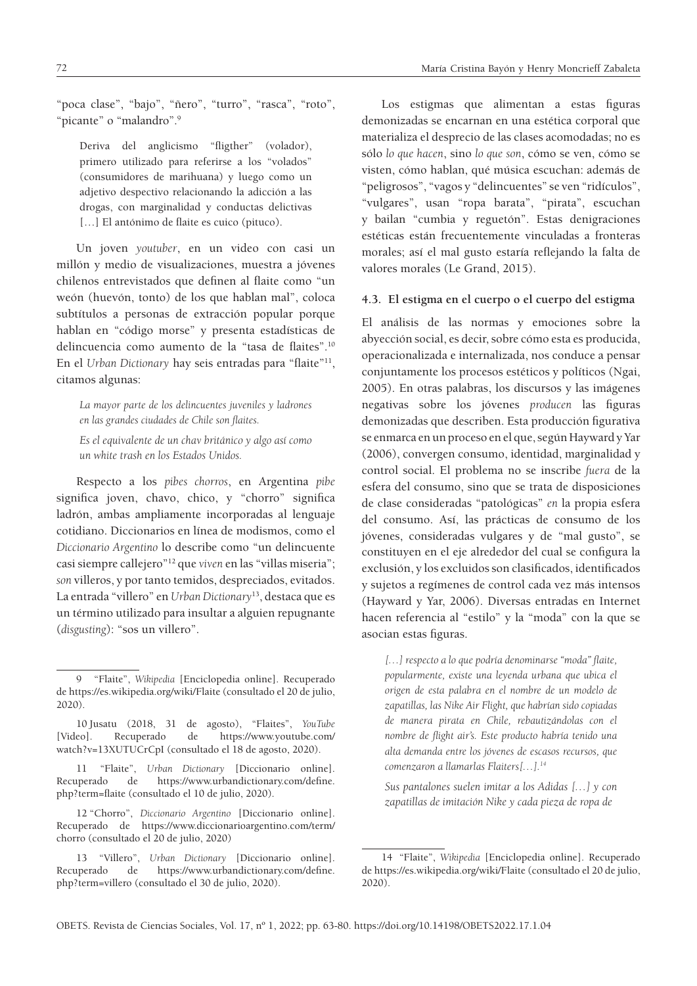"poca clase", "bajo", "ñero", "turro", "rasca", "roto", "picante" o "malandro".9

Deriva del anglicismo "fligther" (volador), primero utilizado para referirse a los "volados" (consumidores de marihuana) y luego como un adjetivo despectivo relacionando la adicción a las drogas, con marginalidad y conductas delictivas [...] El antónimo de flaite es cuico (pituco).

Un joven *youtuber*, en un video con casi un millón y medio de visualizaciones, muestra a jóvenes chilenos entrevistados que definen al flaite como "un weón (huevón, tonto) de los que hablan mal", coloca subtítulos a personas de extracción popular porque hablan en "código morse" y presenta estadísticas de delincuencia como aumento de la "tasa de flaites". 10 En el *Urban Dictionary* hay seis entradas para "flaite"11, citamos algunas:

*La mayor parte de los delincuentes juveniles y ladrones en las grandes ciudades de Chile son flaites.*

*Es el equivalente de un chav británico y algo así como un white trash en los Estados Unidos.*

Respecto a los *pibes chorros*, en Argentina *pibe* significa joven, chavo, chico, y "chorro" significa ladrón, ambas ampliamente incorporadas al lenguaje cotidiano. Diccionarios en línea de modismos, como el *Diccionario Argentino* lo describe como "un delincuente casi siempre callejero"12 que *viven* en las "villas miseria"; *son* villeros, y por tanto temidos, despreciados, evitados. La entrada "villero" en *Urban Dictionary*13, destaca que es un término utilizado para insultar a alguien repugnante (*disgusting*): "sos un villero".

Los estigmas que alimentan a estas figuras demonizadas se encarnan en una estética corporal que materializa el desprecio de las clases acomodadas; no es sólo *lo que hacen*, sino *lo que son*, cómo se ven, cómo se visten, cómo hablan, qué música escuchan: además de "peligrosos", "vagos y "delincuentes" se ven "ridículos", "vulgares", usan "ropa barata", "pirata", escuchan y bailan "cumbia y reguetón". Estas denigraciones estéticas están frecuentemente vinculadas a fronteras morales; así el mal gusto estaría reflejando la falta de valores morales (Le Grand, 2015).

### **4.3. El estigma en el cuerpo o el cuerpo del estigma**

El análisis de las normas y emociones sobre la abyección social, es decir, sobre cómo esta es producida, operacionalizada e internalizada, nos conduce a pensar conjuntamente los procesos estéticos y políticos (Ngai, 2005). En otras palabras, los discursos y las imágenes negativas sobre los jóvenes *producen* las figuras demonizadas que describen. Esta producción figurativa se enmarca en un proceso en el que, según Hayward y Yar (2006), convergen consumo, identidad, marginalidad y control social. El problema no se inscribe *fuera* de la esfera del consumo, sino que se trata de disposiciones de clase consideradas "patológicas" *en* la propia esfera del consumo. Así, las prácticas de consumo de los jóvenes, consideradas vulgares y de "mal gusto", se constituyen en el eje alrededor del cual se configura la exclusión, y los excluidos son clasificados, identificados y sujetos a regímenes de control cada vez más intensos (Hayward y Yar, 2006). Diversas entradas en Internet hacen referencia al "estilo" y la "moda" con la que se asocian estas figuras.

*[…] respecto a lo que podría denominarse "moda" flaite, popularmente, existe una leyenda urbana que ubica el origen de esta palabra en el nombre de un modelo de zapatillas, las Nike Air Flight, que habrían sido copiadas de manera pirata en Chile, rebautizándolas con el nombre de flight air's. Este producto habría tenido una alta demanda entre los jóvenes de escasos recursos, que comenzaron a llamarlas Flaiters[…].14*

*Sus pantalones suelen imitar a los Adidas […] y con zapatillas de imitación Nike y cada pieza de ropa de* 

<sup>9 &</sup>quot;Flaite", *Wikipedia* [Enciclopedia online]. Recuperado de https://es.wikipedia.org/wiki/Flaite (consultado el 20 de julio, 2020).

<sup>10</sup> Jusatu (2018, 31 de agosto), "Flaites", *YouTube* [Video]. Recuperado de https://www.youtube.com/ watch?v=13XUTUCrCpI (consultado el 18 de agosto, 2020).

<sup>11 &</sup>quot;Flaite", *Urban Dictionary* [Diccionario online]. Recuperado de https://www.urbandictionary.com/define. php?term=flaite (consultado el 10 de julio, 2020).

<sup>12</sup> "Chorro", *Diccionario Argentino* [Diccionario online]. Recuperado de https://www.diccionarioargentino.com/term/ chorro (consultado el 20 de julio, 2020)

<sup>13 &</sup>quot;Villero", *Urban Dictionary* [Diccionario online]. Recuperado de https://www.urbandictionary.com/define. php?term=villero (consultado el 30 de julio, 2020).

<sup>14 &</sup>quot;Flaite", *Wikipedia* [Enciclopedia online]. Recuperado de https://es.wikipedia.org/wiki/Flaite (consultado el 20 de julio, 2020).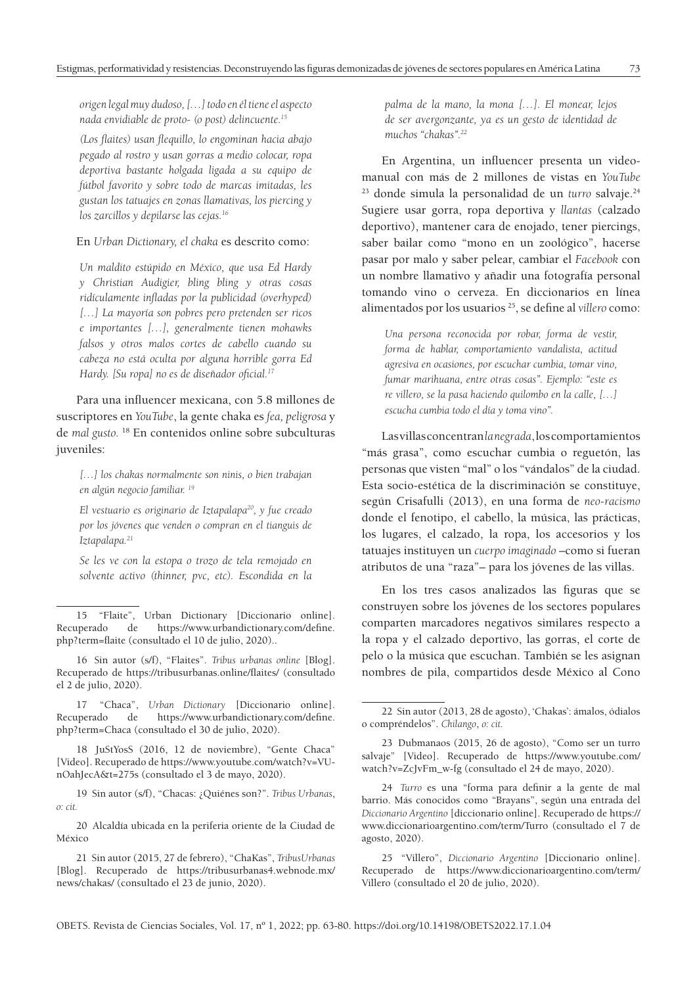*origen legal muy dudoso, […] todo en él tiene el aspecto nada envidiable de proto- (o post) delincuente. 15*

*(Los flaites) usan flequillo, lo engominan hacia abajo pegado al rostro y usan gorras a medio colocar, ropa deportiva bastante holgada ligada a su equipo de fútbol favorito y sobre todo de marcas imitadas, les gustan los tatuajes en zonas llamativas, los piercing y los zarcillos y depilarse las cejas.16*

En *Urban Dictionary, el chaka* es descrito como:

*Un maldito estúpido en México, que usa Ed Hardy y Christian Audigier, bling bling y otras cosas ridículamente infladas por la publicidad (overhyped) […] La mayoría son pobres pero pretenden ser ricos e importantes […], generalmente tienen mohawks falsos y otros malos cortes de cabello cuando su cabeza no está oculta por alguna horrible gorra Ed Hardy. [Su ropa] no es de diseñador oficial.17*

Para una influencer mexicana, con 5.8 millones de suscriptores en *YouTube*, la gente chaka es *fea, peligrosa* y de *mal gusto.* 18 En contenidos online sobre subculturas juveniles:

*[…] los chakas normalmente son ninis, o bien trabajan en algún negocio familiar. 19*

*El vestuario es originario de Iztapalapa20, y fue creado por los jóvenes que venden o compran en el tianguis de Iztapalapa.21*

*Se les ve con la estopa o trozo de tela remojado en solvente activo (thinner, pvc, etc). Escondida en la* 

17 "Chaca", *Urban Dictionary* [Diccionario online]. Recuperado de https://www.urbandictionary.com/define. php?term=Chaca (consultado el 30 de julio, 2020).

18 JuStYosS (2016, 12 de noviembre), "Gente Chaca" [Video]. Recuperado de https://www.youtube.com/watch?v=VUnOahJecA&t=275s (consultado el 3 de mayo, 2020).

19 Sin autor (s/f), "Chacas: ¿Quiénes son?". *Tribus Urbanas*, *o: cit.*

20 Alcaldía ubicada en la periferia oriente de la Ciudad de México

*palma de la mano, la mona […]. El monear, lejos de ser avergonzante, ya es un gesto de identidad de muchos "chakas".22*

En Argentina, un influencer presenta un videomanual con más de 2 millones de vistas en *YouTube*  <sup>23</sup> donde simula la personalidad de un *turro* salvaje.<sup>24</sup> Sugiere usar gorra, ropa deportiva y *llantas* (calzado deportivo), mantener cara de enojado, tener piercings, saber bailar como "mono en un zoológico", hacerse pasar por malo y saber pelear, cambiar el *Facebook* con un nombre llamativo y añadir una fotografía personal tomando vino o cerveza. En diccionarios en línea alimentados por los usuarios 25, se define al *villero* como:

*Una persona reconocida por robar, forma de vestir, forma de hablar, comportamiento vandalista, actitud agresiva en ocasiones, por escuchar cumbia, tomar vino, fumar marihuana, entre otras cosas". Ejemplo: "este es re villero, se la pasa haciendo quilombo en la calle, […] escucha cumbia todo el día y toma vino".* 

Las villas concentran *la negrada*, los comportamientos "más grasa", como escuchar cumbia o reguetón, las personas que visten "mal" o los "vándalos" de la ciudad. Esta socio-estética de la discriminación se constituye, según Crisafulli (2013), en una forma de *neo-racismo* donde el fenotipo, el cabello, la música, las prácticas, los lugares, el calzado, la ropa, los accesorios y los tatuajes instituyen un *cuerpo imaginado* –como si fueran atributos de una "raza"– para los jóvenes de las villas.

En los tres casos analizados las figuras que se construyen sobre los jóvenes de los sectores populares comparten marcadores negativos similares respecto a la ropa y el calzado deportivo, las gorras, el corte de pelo o la música que escuchan. También se les asignan nombres de pila, compartidos desde México al Cono

<sup>15 &</sup>quot;Flaite", Urban Dictionary [Diccionario online]. Recuperado de https://www.urbandictionary.com/define. php?term=flaite (consultado el 10 de julio, 2020)..

<sup>16</sup> Sin autor (s/f), "Flaites". *Tribus urbanas online* [Blog]. Recuperado de https://tribusurbanas.online/flaites/ (consultado el 2 de julio, 2020).

<sup>21</sup> Sin autor (2015, 27 de febrero), "ChaKas", *TribusUrbanas* [Blog]. Recuperado de https://tribusurbanas4.webnode.mx/ news/chakas/ (consultado el 23 de junio, 2020).

<sup>22</sup> Sin autor (2013, 28 de agosto), 'Chakas': ámalos, ódialos o compréndelos". *Chilango*, *o: cit.* 

<sup>23</sup> Dubmanaos (2015, 26 de agosto), "Como ser un turro salvaje" [Video]. Recuperado de https://www.youtube.com/ watch?v=ZcJvFm\_w-fg (consultado el 24 de mayo, 2020).

<sup>24</sup> *Turro* es una "forma para definir a la gente de mal barrio. Más conocidos como "Brayans", según una entrada del *Diccionario Argentino* [diccionario online]. Recuperado de https:// www.diccionarioargentino.com/term/Turro (consultado el 7 de agosto, 2020).

<sup>25 &</sup>quot;Villero", *Diccionario Argentino* [Diccionario online]. Recuperado de https://www.diccionarioargentino.com/term/ Villero (consultado el 20 de julio, 2020).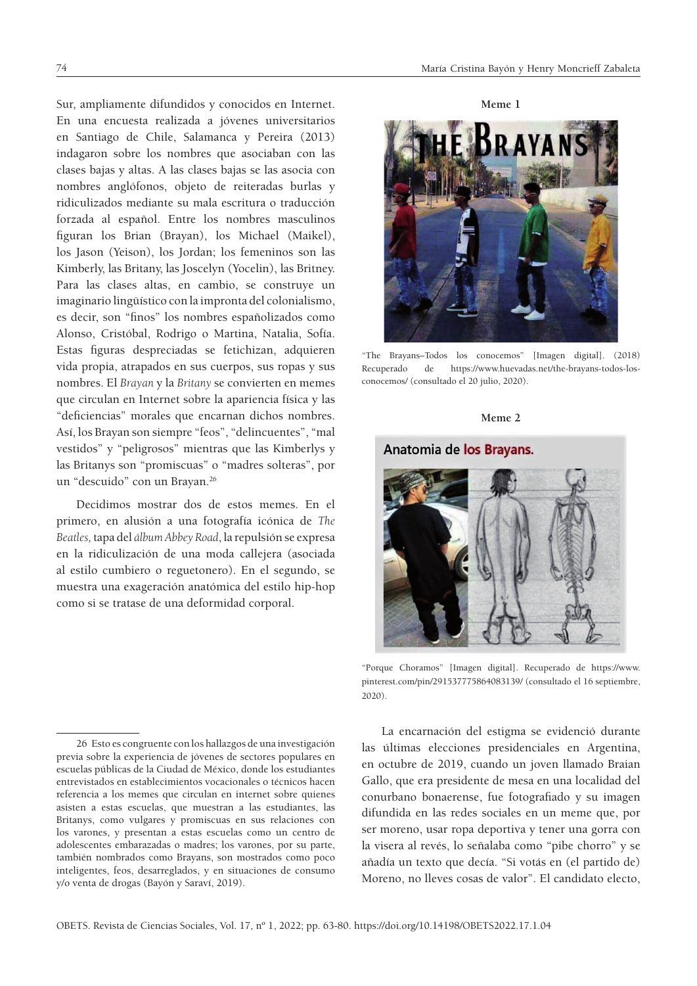Sur, ampliamente difundidos y conocidos en Internet. En una encuesta realizada a jóvenes universitarios en Santiago de Chile, Salamanca y Pereira (2013) indagaron sobre los nombres que asociaban con las clases bajas y altas. A las clases bajas se las asocia con nombres anglófonos, objeto de reiteradas burlas y ridiculizados mediante su mala escritura o traducción forzada al español. Entre los nombres masculinos figuran los Brian (Brayan), los Michael (Maikel), los Jason (Yeison), los Jordan; los femeninos son las Kimberly, las Britany, las Joscelyn (Yocelin), las Britney. Para las clases altas, en cambio, se construye un imaginario lingüístico con la impronta del colonialismo, es decir, son "finos" los nombres españolizados como Alonso, Cristóbal, Rodrigo o Martina, Natalia, Sofía. Estas figuras despreciadas se fetichizan, adquieren vida propia, atrapados en sus cuerpos, sus ropas y sus nombres. El *Brayan* y la *Britany* se convierten en memes que circulan en Internet sobre la apariencia física y las "deficiencias" morales que encarnan dichos nombres. Así, los Brayan son siempre "feos", "delincuentes", "mal vestidos" y "peligrosos" mientras que las Kimberlys y las Britanys son "promiscuas" o "madres solteras", por un "descuido" con un Brayan.26

Decidimos mostrar dos de estos memes. En el primero, en alusión a una fotografía icónica de *The Beatles,* tapa del *álbum Abbey Road*, la repulsión se expresa en la ridiculización de una moda callejera (asociada al estilo cumbiero o reguetonero). En el segundo, se muestra una exageración anatómica del estilo hip-hop como si se tratase de una deformidad corporal.

#### **Meme 1**



"The Brayans–Todos los conocemos" [Imagen digital]. (2018) Recuperado de https://www.huevadas.net/the-brayans-todos-losconocemos/ (consultado el 20 julio, 2020).

#### **Meme 2**



"Porque Choramos" [Imagen digital]. Recuperado de https://www. pinterest.com/pin/291537775864083139/ (consultado el 16 septiembre, 2020).

La encarnación del estigma se evidenció durante las últimas elecciones presidenciales en Argentina, en octubre de 2019, cuando un joven llamado Braian Gallo, que era presidente de mesa en una localidad del conurbano bonaerense, fue fotografiado y su imagen difundida en las redes sociales en un meme que, por ser moreno, usar ropa deportiva y tener una gorra con la visera al revés, lo señalaba como "pibe chorro" y se añadía un texto que decía. "Si votás en (el partido de) Moreno, no lleves cosas de valor". El candidato electo,

<sup>26</sup> Esto es congruente con los hallazgos de una investigación previa sobre la experiencia de jóvenes de sectores populares en escuelas públicas de la Ciudad de México, donde los estudiantes entrevistados en establecimientos vocacionales o técnicos hacen referencia a los memes que circulan en internet sobre quienes asisten a estas escuelas, que muestran a las estudiantes, las Britanys, como vulgares y promiscuas en sus relaciones con los varones, y presentan a estas escuelas como un centro de adolescentes embarazadas o madres; los varones, por su parte, también nombrados como Brayans, son mostrados como poco inteligentes, feos, desarreglados, y en situaciones de consumo y/o venta de drogas (Bayón y Saraví, 2019).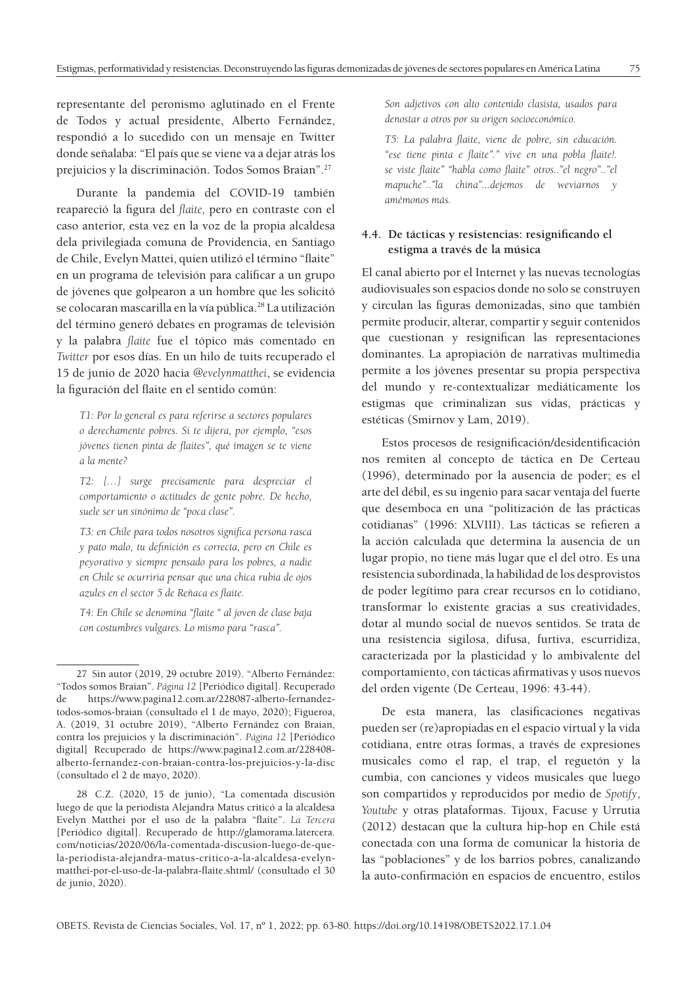representante del peronismo aglutinado en el Frente de Todos y actual presidente, Alberto Fernández, respondió a lo sucedido con un mensaje en Twitter donde señalaba: "El país que se viene va a dejar atrás los prejuicios y la discriminación. Todos Somos Braian".27

Durante la pandemia del COVID-19 también reapareció la figura del *flaite,* pero en contraste con el caso anterior, esta vez en la voz de la propia alcaldesa dela privilegiada comuna de Providencia, en Santiago de Chile, Evelyn Mattei, quien utilizó el término "flaite" en un programa de televisión para calificar a un grupo de jóvenes que golpearon a un hombre que les solicitó se colocaran mascarilla en la vía pública.<sup>28</sup> La utilización del término generó debates en programas de televisión y la palabra *flaite* fue el tópico más comentado en *Twitter* por esos días. En un hilo de tuits recuperado el 15 de junio de 2020 hacia *@evelynmatthei*, se evidencia la figuración del flaite en el sentido común:

*T1: Por lo general es para referirse a sectores populares o derechamente pobres. Si te dijera, por ejemplo, "esos jóvenes tienen pinta de flaites", qué imagen se te viene a la mente?*

*T2: […] surge precisamente para despreciar el comportamiento o actitudes de gente pobre. De hecho, suele ser un sinónimo de "poca clase".* 

*T3: en Chile para todos nosotros significa persona rasca y pato malo, tu definición es correcta, pero en Chile es peyorativo y siempre pensado para los pobres, a nadie en Chile se ocurriria pensar que una chica rubia de ojos azules en el sector 5 de Reñaca es flaite.*

*T4: En Chile se denomina "flaite " al joven de clase baja con costumbres vulgares. Lo mismo para "rasca".* 

*Son adjetivos con alto contenido clasista, usados para denostar a otros por su origen socioeconómico.*

*T5: La palabra flaite, viene de pobre, sin educación. "ese tiene pinta e flaite"." vive en una pobla flaite!. se viste flaite" "habla como flaite" otros.."el negro".."el mapuche".."la china"...dejemos de weviarnos y amémonos más.*

### **4.4. De tácticas y resistencias: resignificando el estigma a través de la música**

El canal abierto por el Internet y las nuevas tecnologías audiovisuales son espacios donde no solo se construyen y circulan las figuras demonizadas, sino que también permite producir, alterar, compartir y seguir contenidos que cuestionan y resignifican las representaciones dominantes. La apropiación de narrativas multimedia permite a los jóvenes presentar su propia perspectiva del mundo y re-contextualizar mediáticamente los estigmas que criminalizan sus vidas, prácticas y estéticas (Smirnov y Lam, 2019).

Estos procesos de resignificación/desidentificación nos remiten al concepto de táctica en De Certeau (1996), determinado por la ausencia de poder; es el arte del débil, es su ingenio para sacar ventaja del fuerte que desemboca en una "politización de las prácticas cotidianas" (1996: XLVIII). Las tácticas se refieren a la acción calculada que determina la ausencia de un lugar propio, no tiene más lugar que el del otro. Es una resistencia subordinada, la habilidad de los desprovistos de poder legítimo para crear recursos en lo cotidiano, transformar lo existente gracias a sus creatividades, dotar al mundo social de nuevos sentidos. Se trata de una resistencia sigilosa, difusa, furtiva, escurridiza, caracterizada por la plasticidad y lo ambivalente del comportamiento, con tácticas afirmativas y usos nuevos del orden vigente (De Certeau, 1996: 43-44).

De esta manera, las clasificaciones negativas pueden ser (re)apropiadas en el espacio virtual y la vida cotidiana, entre otras formas, a través de expresiones musicales como el rap, el trap, el reguetón y la cumbia, con canciones y videos musicales que luego son compartidos y reproducidos por medio de *Spotify*, *Youtube* y otras plataformas. Tijoux, Facuse y Urrutia (2012) destacan que la cultura hip-hop en Chile está conectada con una forma de comunicar la historia de las "poblaciones" y de los barrios pobres, canalizando la auto-confirmación en espacios de encuentro, estilos

<sup>27</sup> Sin autor (2019, 29 octubre 2019). "Alberto Fernández: "Todos somos Braian". *Página 12* [Periódico digital]. Recuperado de https://www.pagina12.com.ar/228087-alberto-fernandeztodos-somos-braian (consultado el 1 de mayo, 2020); Figueroa, A. (2019, 31 octubre 2019), "Alberto Fernández con Braian, contra los prejuicios y la discriminación". *Página 12* [Periódico digital] Recuperado de https://www.pagina12.com.ar/228408 alberto-fernandez-con-braian-contra-los-prejuicios-y-la-disc (consultado el 2 de mayo, 2020).

<sup>28</sup> C.Z. (2020, 15 de junio), "La comentada discusión luego de que la periodista Alejandra Matus criticó a la alcaldesa Evelyn Matthei por el uso de la palabra "flaite". *La Tercera* [Periódico digital]. Recuperado de http://glamorama.latercera. com/noticias/2020/06/la-comentada-discusion-luego-de-quela-periodista-alejandra-matus-critico-a-la-alcaldesa-evelynmatthei-por-el-uso-de-la-palabra-flaite.shtml/ (consultado el 30 de junio, 2020).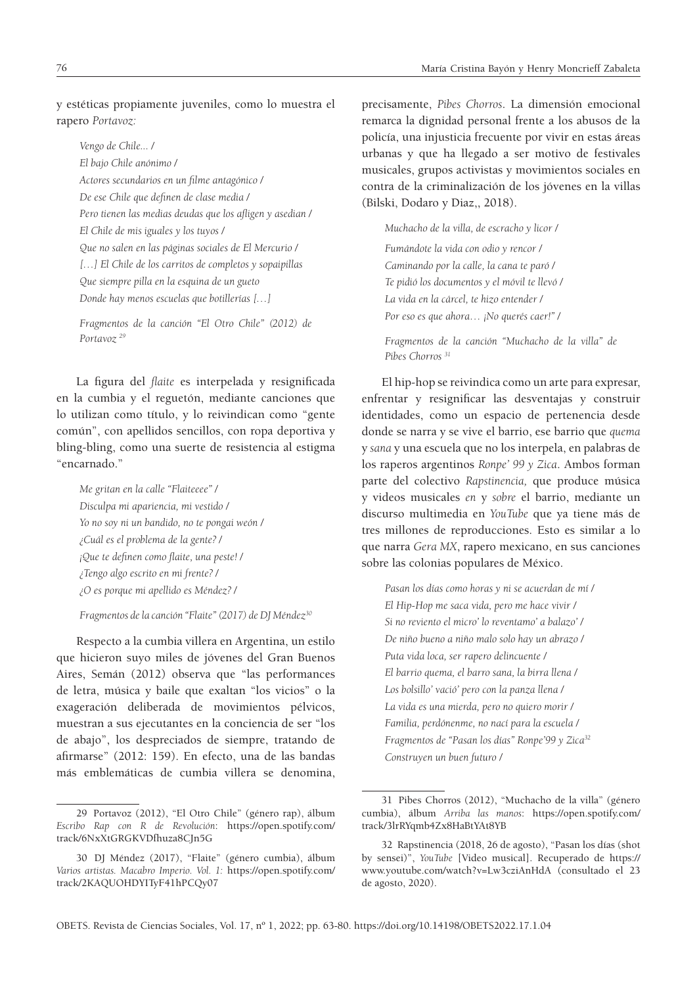y estéticas propiamente juveniles, como lo muestra el rapero *Portavoz:*

*Vengo de Chile... / El bajo Chile anónimo / Actores secundarios en un filme antagónico / De ese Chile que definen de clase media / Pero tienen las medias deudas que los afligen y asedian / El Chile de mis iguales y los tuyos / Que no salen en las páginas sociales de El Mercurio / […] El Chile de los carritos de completos y sopaipillas Que siempre pilla en la esquina de un gueto Donde hay menos escuelas que botillerías […]*

*Fragmentos de la canción "El Otro Chile" (2012) de Portavoz 29*

La figura del *flaite* es interpelada y resignificada en la cumbia y el reguetón, mediante canciones que lo utilizan como título, y lo reivindican como "gente común", con apellidos sencillos, con ropa deportiva y bling-bling, como una suerte de resistencia al estigma "encarnado."

*Me gritan en la calle "Flaiteeee" / Disculpa mi apariencia, mi vestido / Yo no soy ni un bandido, no te pongai weón / ¿Cuál es el problema de la gente? / ¡Que te definen como flaite, una peste! / ¿Tengo algo escrito en mi frente? / ¿O es porque mi apellido es Méndez? /*

*Fragmentos de la canción "Flaite" (2017) de DJ Méndez30*

Respecto a la cumbia villera en Argentina, un estilo que hicieron suyo miles de jóvenes del Gran Buenos Aires, Semán (2012) observa que "las performances de letra, música y baile que exaltan "los vicios" o la exageración deliberada de movimientos pélvicos, muestran a sus ejecutantes en la conciencia de ser "los de abajo", los despreciados de siempre, tratando de afirmarse" (2012: 159). En efecto, una de las bandas más emblemáticas de cumbia villera se denomina,

precisamente, *Pibes Chorros*. La dimensión emocional remarca la dignidad personal frente a los abusos de la policía, una injusticia frecuente por vivir en estas áreas urbanas y que ha llegado a ser motivo de festivales musicales, grupos activistas y movimientos sociales en contra de la criminalización de los jóvenes en la villas (Bilski, Dodaro y Diaz,, 2018).

*Muchacho de la villa, de escracho y licor / Fumándote la vida con odio y rencor / Caminando por la calle, la cana te paró / Te pidió los documentos y el móvil te llevó / La vida en la cárcel, te hizo entender / Por eso es que ahora… ¡No querés caer!" /*

*Fragmentos de la canción "Muchacho de la villa" de Pibes Chorros 31*

El hip-hop se reivindica como un arte para expresar, enfrentar y resignificar las desventajas y construir identidades, como un espacio de pertenencia desde donde se narra y se vive el barrio, ese barrio que *quema* y *sana* y una escuela que no los interpela, en palabras de los raperos argentinos *Ronpe' 99 y Zica*. Ambos forman parte del colectivo *Rapstinencia,* que produce música y videos musicales *en* y *sobre* el barrio, mediante un discurso multimedia en *YouTube* que ya tiene más de tres millones de reproducciones. Esto es similar a lo que narra *Gera MX*, rapero mexicano, en sus canciones sobre las colonias populares de México.

*Pasan los días como horas y ni se acuerdan de mí / El Hip-Hop me saca vida, pero me hace vivir / Si no reviento el micro' lo reventamo' a balazo' / De niño bueno a niño malo solo hay un abrazo / Puta vida loca, ser rapero delincuente / El barrio quema, el barro sana, la birra llena / Los bolsillo' vació' pero con la panza llena / La vida es una mierda, pero no quiero morir / Familia, perdónenme, no nací para la escuela / Fragmentos de "Pasan los días" Ronpe'99 y Zica32 Construyen un buen futuro /*

<sup>29</sup> Portavoz (2012), "El Otro Chile" (género rap), álbum *Escribo Rap con R de Revolución*: https://open.spotify.com/ track/6NxXtGRGKVDfhuza8CJn5G

<sup>30</sup> DJ Méndez (2017), "Flaite" (género cumbia), álbum *Varios artistas. Macabro Imperio. Vol. 1:* https://open.spotify.com/ track/2KAQUOHDYITyF41hPCQy07

<sup>31</sup> Pibes Chorros (2012), "Muchacho de la villa" (género cumbia), álbum *Arriba las manos*: https://open.spotify.com/ track/3lrRYqmb4Zx8HaBtYAt8YB

<sup>32</sup> Rapstinencia (2018, 26 de agosto), "Pasan los días (shot by sensei)", *YouTube* [Video musical]. Recuperado de https:// www.youtube.com/watch?v=Lw3cziAnHdA (consultado el 23 de agosto, 2020).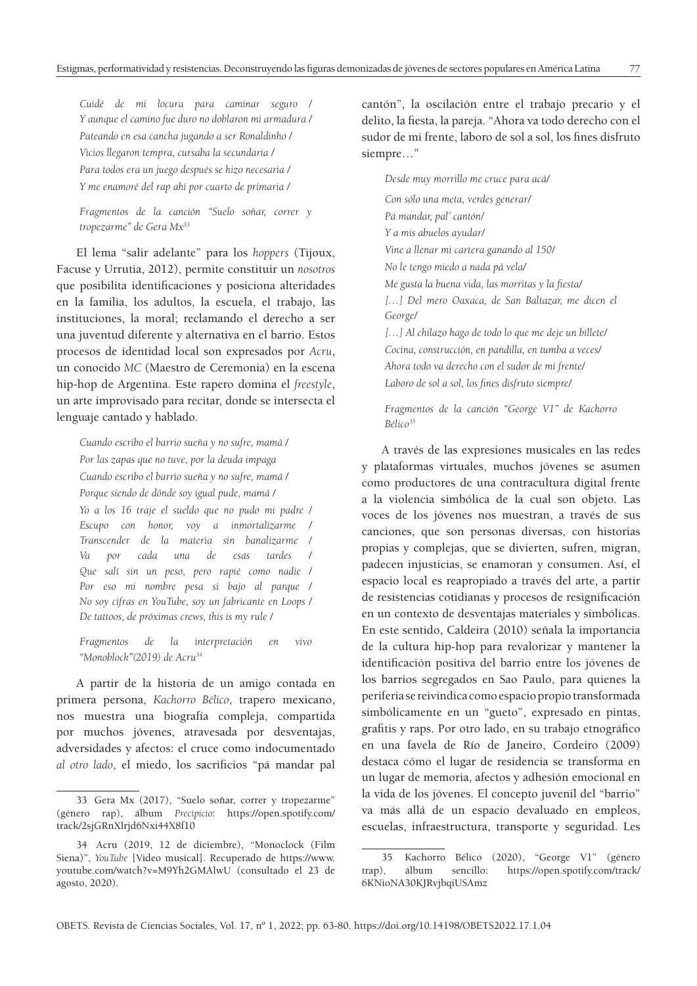*Cuidé de mi locura para caminar seguro / Y aunque el camino fue duro no doblaron mi armadura / Pateando en esa cancha jugando a ser Ronaldinho / Vicios llegaron tempra, cursaba la secundaria / Para todos era un juego después se hizo necesaria / Y me enamoré del rap ahí por cuarto de primaria /*

*Fragmentos de la canción "Suelo soñar, correr y tropezarme" de Gera Mx33*

El lema "salir adelante" para los *hoppers* (Tijoux, Facuse y Urrutia, 2012), permite constituir un *nosotros* que posibilita identificaciones y posiciona alteridades en la familia, los adultos, la escuela, el trabajo, las instituciones, la moral; reclamando el derecho a ser una juventud diferente y alternativa en el barrio. Estos procesos de identidad local son expresados por *Acru*, un conocido *MC* (Maestro de Ceremonia) en la escena hip-hop de Argentina. Este rapero domina el *freestyle*, un arte improvisado para recitar, donde se intersecta el lenguaje cantado y hablado.

*Cuando escribo el barrio sueña y no sufre, mamá / Por las zapas que no tuve, por la deuda impaga Cuando escribo el barrio sueña y no sufre, mamá / Porque siendo de dónde soy igual pude, mamá / Yo a los 16 traje el sueldo que no pudo mi padre / Escupo con honor, voy a inmortalizarme / Transcender de la materia sin banalizarme / Va por cada una de esas tardes / Que salí sin un peso, pero rapié como nadie / Por eso mi nombre pesa si bajo al parque / No soy cifras en YouTube, soy un fabricante en Loops / De tattoos, de próximas crews, this is my rule /*

*Fragmentos de la interpretación en vivo "Monoblock"(2019) de Acru34*

A partir de la historia de un amigo contada en primera persona, *Kachorro Bélico*, trapero mexicano, nos muestra una biografía compleja, compartida por muchos jóvenes, atravesada por desventajas, adversidades y afectos: el cruce como indocumentado *al otro lado*, el miedo, los sacrificios "pá mandar pal cantón", la oscilación entre el trabajo precario y el delito, la fiesta, la pareja. "Ahora va todo derecho con el sudor de mi frente, laboro de sol a sol, los fines disfruto siempre…"

*Desde muy morrillo me cruce para acá/ Con sólo una meta, verdes generar/ Pá mandar, pal' cantón/ Y a mis abuelos ayudar/ Vine a llenar mi cartera ganando al 150/ No le tengo miedo a nada pá vela/ Me gusta la buena vida, las morritas y la fiesta/* [...] Del mero Oaxaca, de San Baltazar, me dicen el *George/ […] Al chilazo hago de todo lo que me deje un billete/ Cocina, construcción, en pandilla, en tumba a veces/ Ahora todo va derecho con el sudor de mi frente/ Laboro de sol a sol, los fines disfruto siempre/*

*Fragmentos de la canción "George V1" de Kachorro Bélico35*

A través de las expresiones musicales en las redes y plataformas virtuales, muchos jóvenes se asumen como productores de una contracultura digital frente a la violencia simbólica de la cual son objeto. Las voces de los jóvenes nos muestran, a través de sus canciones, que son personas diversas, con historias propias y complejas, que se divierten, sufren, migran, padecen injusticias, se enamoran y consumen. Así, el espacio local es reapropiado a través del arte, a partir de resistencias cotidianas y procesos de resignificación en un contexto de desventajas materiales y simbólicas. En este sentido, Caldeira (2010) señala la importancia de la cultura hip-hop para revalorizar y mantener la identificación positiva del barrio entre los jóvenes de los barrios segregados en Sao Paulo, para quienes la periferia se reivindica como espacio propio transformada simbólicamente en un "gueto", expresado en pintas, grafitis y raps. Por otro lado, en su trabajo etnográfico en una favela de Río de Janeiro, Cordeiro (2009) destaca cómo el lugar de residencia se transforma en un lugar de memoria, afectos y adhesión emocional en la vida de los jóvenes. El concepto juvenil del "barrio" va más allá de un espacio devaluado en empleos, escuelas, infraestructura, transporte y seguridad. Les

<sup>33</sup> Gera Mx (2017), "Suelo soñar, correr y tropezarme" (género rap), álbum *Precipicio*: https://open.spotify.com/ track/2sjGRnXlrjd6Nxi44X8f10

<sup>34</sup> Acru (2019, 12 de diciembre), "Monoclock (Film Siena)", *YouTube* [Video musical]. Recuperado de https://www. youtube.com/watch?v=M9Yh2GMAlwU (consultado el 23 de agosto, 2020).

<sup>35</sup> Kachorro Bélico (2020), "George V1" (género trap), álbum sencillo: https://open.spotify.com/track/ 6KNioNA30KJRvjbqiUSAmz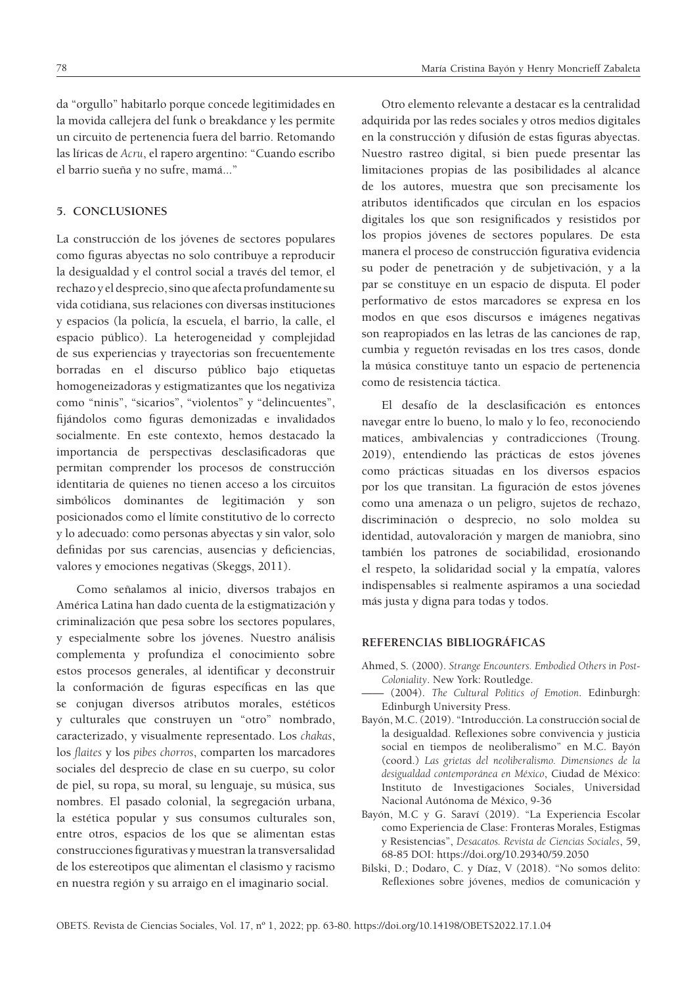da "orgullo" habitarlo porque concede legitimidades en la movida callejera del funk o breakdance y les permite un circuito de pertenencia fuera del barrio. Retomando las líricas de *Acru*, el rapero argentino: "Cuando escribo el barrio sueña y no sufre, mamá..."

## **5. CONCLUSIONES**

La construcción de los jóvenes de sectores populares como figuras abyectas no solo contribuye a reproducir la desigualdad y el control social a través del temor, el rechazo y el desprecio, sino que afecta profundamente su vida cotidiana, sus relaciones con diversas instituciones y espacios (la policía, la escuela, el barrio, la calle, el espacio público). La heterogeneidad y complejidad de sus experiencias y trayectorias son frecuentemente borradas en el discurso público bajo etiquetas homogeneizadoras y estigmatizantes que los negativiza como "ninis", "sicarios", "violentos" y "delincuentes", fijándolos como figuras demonizadas e invalidados socialmente. En este contexto, hemos destacado la importancia de perspectivas desclasificadoras que permitan comprender los procesos de construcción identitaria de quienes no tienen acceso a los circuitos simbólicos dominantes de legitimación y son posicionados como el límite constitutivo de lo correcto y lo adecuado: como personas abyectas y sin valor, solo definidas por sus carencias, ausencias y deficiencias, valores y emociones negativas (Skeggs, 2011).

Como señalamos al inicio, diversos trabajos en América Latina han dado cuenta de la estigmatización y criminalización que pesa sobre los sectores populares, y especialmente sobre los jóvenes. Nuestro análisis complementa y profundiza el conocimiento sobre estos procesos generales, al identificar y deconstruir la conformación de figuras específicas en las que se conjugan diversos atributos morales, estéticos y culturales que construyen un "otro" nombrado, caracterizado, y visualmente representado. Los *chakas*, los *flaites* y los *pibes chorros*, comparten los marcadores sociales del desprecio de clase en su cuerpo, su color de piel, su ropa, su moral, su lenguaje, su música, sus nombres. El pasado colonial, la segregación urbana, la estética popular y sus consumos culturales son, entre otros, espacios de los que se alimentan estas construcciones figurativas y muestran la transversalidad de los estereotipos que alimentan el clasismo y racismo en nuestra región y su arraigo en el imaginario social.

Otro elemento relevante a destacar es la centralidad adquirida por las redes sociales y otros medios digitales en la construcción y difusión de estas figuras abyectas. Nuestro rastreo digital, si bien puede presentar las limitaciones propias de las posibilidades al alcance de los autores, muestra que son precisamente los atributos identificados que circulan en los espacios digitales los que son resignificados y resistidos por los propios jóvenes de sectores populares. De esta manera el proceso de construcción figurativa evidencia su poder de penetración y de subjetivación, y a la par se constituye en un espacio de disputa. El poder performativo de estos marcadores se expresa en los modos en que esos discursos e imágenes negativas son reapropiados en las letras de las canciones de rap, cumbia y reguetón revisadas en los tres casos, donde la música constituye tanto un espacio de pertenencia como de resistencia táctica.

El desafío de la desclasificación es entonces navegar entre lo bueno, lo malo y lo feo, reconociendo matices, ambivalencias y contradicciones (Troung. 2019), entendiendo las prácticas de estos jóvenes como prácticas situadas en los diversos espacios por los que transitan. La figuración de estos jóvenes como una amenaza o un peligro, sujetos de rechazo, discriminación o desprecio, no solo moldea su identidad, autovaloración y margen de maniobra, sino también los patrones de sociabilidad, erosionando el respeto, la solidaridad social y la empatía, valores indispensables si realmente aspiramos a una sociedad más justa y digna para todas y todos.

#### **REFERENCIAS BIBLIOGRÁFICAS**

- Ahmed, S. (2000). *Strange Encounters. Embodied Others in Post-Coloniality*. New York: Routledge.
- —— (2004). *The Cultural Politics of Emotion*. Edinburgh: Edinburgh University Press.
- Bayón, M.C. (2019). "Introducción. La construcción social de la desigualdad. Reflexiones sobre convivencia y justicia social en tiempos de neoliberalismo" en M.C. Bayón (coord.) *Las grietas del neoliberalismo. Dimensiones de la desigualdad contemporánea en México*, Ciudad de México: Instituto de Investigaciones Sociales, Universidad Nacional Autónoma de México, 9-36
- Bayón, M.C y G. Saraví (2019). "La Experiencia Escolar como Experiencia de Clase: Fronteras Morales, Estigmas y Resistencias", *Desacatos. Revista de Ciencias Sociales*, 59, 68-85 DOI: https://doi.org/10.29340/59.2050
- Bilski, D.; Dodaro, C. y Díaz, V (2018). "No somos delito: Reflexiones sobre jóvenes, medios de comunicación y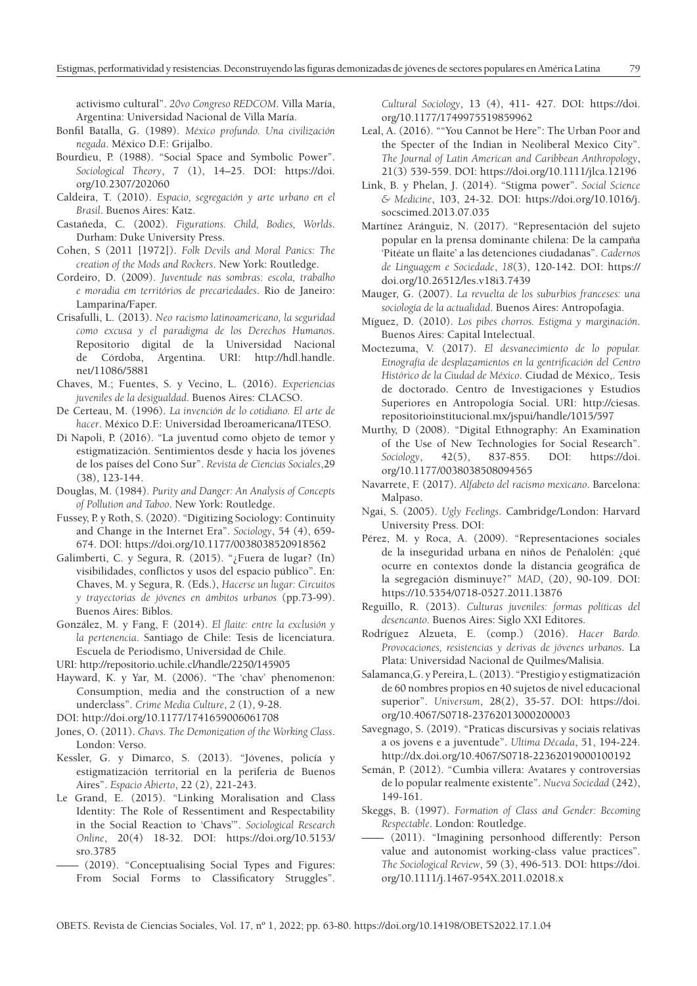activismo cultural". *20vo Congreso REDCOM*. Villa María, Argentina: Universidad Nacional de Villa María.

- Bonfil Batalla, G. (1989). *México profundo. Una civilización negada*. México D.F.: Grijalbo.
- Bourdieu, P. (1988). "Social Space and Symbolic Power". *Sociological Theory*, 7 (1), 14–25. DOI: https://doi. org/10.2307/202060
- Caldeira, T. (2010). *Espacio, segregación y arte urbano en el Brasil*. Buenos Aires: Katz.
- Castañeda, C. (2002). *Figurations. Child, Bodies, Worlds*. Durham: Duke University Press.
- Cohen, S (2011 [1972]). *Folk Devils and Moral Panics: The creation of the Mods and Rockers*. New York: Routledge.
- Cordeiro, D. (2009). *Juventude nas sombras: escola, trabalho e moradia em territórios de precariedades*. Rio de Janeiro: Lamparina/Faper.
- Crisafulli, L. (2013). *Neo racismo latinoamericano, la seguridad como excusa y el paradigma de los Derechos Humanos*. Repositorio digital de la Universidad Nacional de Córdoba, Argentina. URI: http://hdl.handle. net/11086/5881
- Chaves, M.; Fuentes, S. y Vecino, L. (2016). *Experiencias juveniles de la desigualdad*. Buenos Aires: CLACSO.
- De Certeau, M. (1996). *La invención de lo cotidiano. El arte de hacer*. México D.F.: Universidad Iberoamericana/ITESO.
- Di Napoli, P. (2016). "La juventud como objeto de temor y estigmatización. Sentimientos desde y hacia los jóvenes de los países del Cono Sur". *Revista de Ciencias Sociales*,29 (38), 123-144.
- Douglas, M. (1984). *Purity and Danger: An Analysis of Concepts of Pollution and Taboo*. New York: Routledge.
- Fussey, P. y Roth, S. (2020). "Digitizing Sociology: Continuity and Change in the Internet Era". *Sociology*, 54 (4), 659- 674. DOI: https://doi.org/10.1177/0038038520918562
- Galimberti, C. y Segura, R. (2015). "¿Fuera de lugar? (In) visibilidades, conflictos y usos del espacio público". En: Chaves, M. y Segura, R. (Eds.), *Hacerse un lugar: Circuitos y trayectorias de jóvenes en ámbitos urbanos* (pp.73-99). Buenos Aires: Biblos.
- González, M. y Fang, F. (2014). *El flaite: entre la exclusión y la pertenencia*. Santiago de Chile: Tesis de licenciatura. Escuela de Periodismo, Universidad de Chile.
- URI: http://repositorio.uchile.cl/handle/2250/145905
- Hayward, K. y Yar, M. (2006). "The 'chav' phenomenon: Consumption, media and the construction of a new underclass". *Crime Media Culture*, *2* (1), 9-28.
- DOI: http://doi.org/10.1177/1741659006061708
- Jones, O. (2011). *Chavs. The Demonization of the Working Class*. London: Verso.
- Kessler, G. y Dimarco, S. (2013). "Jóvenes, policía y estigmatización territorial en la periferia de Buenos Aires". *Espacio Abierto*, 22 (2), 221-243.
- Le Grand, E. (2015). "Linking Moralisation and Class Identity: The Role of Ressentiment and Respectability in the Social Reaction to 'Chavs'". *Sociological Research Online*, 20(4) 18-32. DOI: https://doi.org/10.5153/ sro.3785
- (2019). "Conceptualising Social Types and Figures: From Social Forms to Classificatory Struggles".

*Cultural Sociology*, 13 (4), 411- 427. DOI: https://doi. org/10.1177/1749975519859962

- Leal, A. (2016). ""You Cannot be Here": The Urban Poor and the Specter of the Indian in Neoliberal Mexico City". *The Journal of Latin American and Caribbean Anthropology*, 21(3) 539-559. DOI: https://doi.org/10.1111/jlca.12196
- Link, B. y Phelan, J. (2014). "Stigma power". *Social Science & Medicine*, 103, 24-32. DOI: https://doi.org/10.1016/j. socscimed.2013.07.035
- Martínez Aránguiz, N. (2017). "Representación del sujeto popular en la prensa dominante chilena: De la campaña 'Pitéate un flaite' a las detenciones ciudadanas". *Cadernos de Linguagem e Sociedade*, *18*(3), 120-142. DOI: https:// doi.org/10.26512/les.v18i3.7439
- Mauger, G. (2007). *La revuelta de los suburbios franceses: una sociología de la actualidad*. Buenos Aires: Antropofagia.
- Míguez, D. (2010). *Los pibes chorros. Estigma y marginación*. Buenos Aires: Capital Intelectual.
- Moctezuma, V. (2017). *El desvanecimiento de lo popular. Etnografía de desplazamientos en la gentrificación del Centro Histórico de la Ciudad de México*. Ciudad de México,. Tesis de doctorado. Centro de Investigaciones y Estudios Superiores en Antropología Social. URI: http://ciesas. repositorioinstitucional.mx/jspui/handle/1015/597
- Murthy, D (2008). "Digital Ethnography: An Examination of the Use of New Technologies for Social Research". *Sociology*, 42(5), 837-855. DOI: https://doi. org/10.1177/0038038508094565
- Navarrete, F. (2017). *Alfabeto del racismo mexicano*. Barcelona: Malpaso.
- Ngai, S. (2005). *Ugly Feelings*. Cambridge/London: Harvard University Press. DOI:
- Pérez, M. y Roca, A. (2009). "Representaciones sociales de la inseguridad urbana en niños de Peñalolén: ¿qué ocurre en contextos donde la distancia geográfica de la segregación disminuye?" *MAD*, (20), 90-109. DOI: https://10.5354/0718-0527.2011.13876
- Reguillo, R. (2013). *Culturas juveniles: formas políticas del desencanto*. Buenos Aires: Siglo XXI Editores.
- Rodríguez Alzueta, E. (comp.) (2016). *Hacer Bardo. Provocaciones, resistencias y derivas de jóvenes urbanos*. La Plata: Universidad Nacional de Quilmes/Malisia.
- Salamanca,G. y Pereira, L. (2013). "Prestigio y estigmatización de 60 nombres propios en 40 sujetos de nivel educacional superior". *Universum*, 28(2), 35-57. DOI: https://doi. org/10.4067/S0718-23762013000200003
- Savegnago, S. (2019). "Praticas discursivas y sociais relativas a os jovens e a juventude". *Ultima Década*, 51, 194-224. http://dx.doi.org/10.4067/S0718-22362019000100192
- Semán, P. (2012). "Cumbia villera: Avatares y controversias de lo popular realmente existente". *Nueva Sociedad* (242), 149-161.
- Skeggs, B. (1997). *Formation of Class and Gender: Becoming Respectable*. London: Routledge.
- (2011). "Imagining personhood differently: Person value and autonomist working-class value practices". *The Sociological Review*, 59 (3), 496-513. DOI: https://doi. org/10.1111/j.1467-954X.2011.02018.x